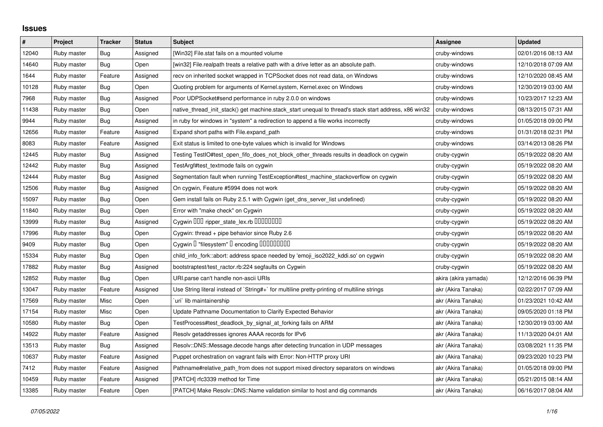## **Issues**

| $\#$  | Project     | <b>Tracker</b> | <b>Status</b> | <b>Subject</b>                                                                                        | Assignee             | <b>Updated</b>      |
|-------|-------------|----------------|---------------|-------------------------------------------------------------------------------------------------------|----------------------|---------------------|
| 12040 | Ruby master | Bug            | Assigned      | [Win32] File.stat fails on a mounted volume                                                           | cruby-windows        | 02/01/2016 08:13 AM |
| 14640 | Ruby master | Bug            | Open          | [win32] File.realpath treats a relative path with a drive letter as an absolute path.                 | cruby-windows        | 12/10/2018 07:09 AM |
| 1644  | Ruby master | Feature        | Assigned      | recv on inherited socket wrapped in TCPSocket does not read data, on Windows                          | cruby-windows        | 12/10/2020 08:45 AM |
| 10128 | Ruby master | <b>Bug</b>     | Open          | Quoting problem for arguments of Kernel.system, Kernel.exec on Windows                                | cruby-windows        | 12/30/2019 03:00 AM |
| 7968  | Ruby master | Bug            | Assigned      | Poor UDPSocket#send performance in ruby 2.0.0 on windows                                              | cruby-windows        | 10/23/2017 12:23 AM |
| 11438 | Ruby master | Bug            | Open          | native thread init stack() get machine.stack start unequal to thread's stack start address, x86 win32 | cruby-windows        | 08/13/2015 07:31 AM |
| 9944  | Ruby master | Bug            | Assigned      | in ruby for windows in "system" a redirection to append a file works incorrectly                      | cruby-windows        | 01/05/2018 09:00 PM |
| 12656 | Ruby master | Feature        | Assigned      | Expand short paths with File.expand_path                                                              | cruby-windows        | 01/31/2018 02:31 PM |
| 8083  | Ruby master | Feature        | Assigned      | Exit status is limited to one-byte values which is invalid for Windows                                | cruby-windows        | 03/14/2013 08:26 PM |
| 12445 | Ruby master | Bug            | Assigned      | Testing TestIO#test_open_fifo_does_not_block_other_threads results in deadlock on cygwin              | cruby-cygwin         | 05/19/2022 08:20 AM |
| 12442 | Ruby master | Bug            | Assigned      | TestArgf#test_textmode fails on cygwin                                                                | cruby-cygwin         | 05/19/2022 08:20 AM |
| 12444 | Ruby master | Bug            | Assigned      | Segmentation fault when running TestException#test machine stackoverflow on cygwin                    | cruby-cygwin         | 05/19/2022 08:20 AM |
| 12506 | Ruby master | Bug            | Assigned      | On cygwin, Feature #5994 does not work                                                                | cruby-cygwin         | 05/19/2022 08:20 AM |
| 15097 | Ruby master | Bug            | Open          | Gem install fails on Ruby 2.5.1 with Cygwin (get_dns_server_list undefined)                           | cruby-cygwin         | 05/19/2022 08:20 AM |
| 11840 | Ruby master | Bug            | Open          | Error with "make check" on Cygwin                                                                     | cruby-cygwin         | 05/19/2022 08:20 AM |
| 13999 | Ruby master | Bug            | Assigned      | Cygwin DDD ripper_state_lex.rb DDDDDDD                                                                | cruby-cygwin         | 05/19/2022 08:20 AM |
| 17996 | Ruby master | Bug            | Open          | Cygwin: thread + pipe behavior since Ruby 2.6                                                         | cruby-cygwin         | 05/19/2022 08:20 AM |
| 9409  | Ruby master | Bug            | Open          | Cygwin I "filesystem" I encoding IIIIIIIIIIIII                                                        | cruby-cygwin         | 05/19/2022 08:20 AM |
| 15334 | Ruby master | Bug            | Open          | child_info_fork::abort: address space needed by 'emoji_iso2022_kddi.so' on cygwin                     | cruby-cygwin         | 05/19/2022 08:20 AM |
| 17882 | Ruby master | Bug            | Assigned      | bootstraptest/test_ractor.rb:224 segfaults on Cygwin                                                  | cruby-cygwin         | 05/19/2022 08:20 AM |
| 12852 | Ruby master | Bug            | Open          | URI.parse can't handle non-ascii URIs                                                                 | akira (akira yamada) | 12/12/2016 06:39 PM |
| 13047 | Ruby master | Feature        | Assigned      | Use String literal instead of `String#+` for multiline pretty-printing of multiline strings           | akr (Akira Tanaka)   | 02/22/2017 07:09 AM |
| 17569 | Ruby master | Misc           | Open          | uri`lib maintainership                                                                                | akr (Akira Tanaka)   | 01/23/2021 10:42 AM |
| 17154 | Ruby master | Misc           | Open          | Update Pathname Documentation to Clarify Expected Behavior                                            | akr (Akira Tanaka)   | 09/05/2020 01:18 PM |
| 10580 | Ruby master | Bug            | Open          | TestProcess#test_deadlock_by_signal_at_forking fails on ARM                                           | akr (Akira Tanaka)   | 12/30/2019 03:00 AM |
| 14922 | Ruby master | Feature        | Assigned      | Resolv getaddresses ignores AAAA records for IPv6                                                     | akr (Akira Tanaka)   | 11/13/2020 04:01 AM |
| 13513 | Ruby master | <b>Bug</b>     | Assigned      | Resolv::DNS::Message.decode hangs after detecting truncation in UDP messages                          | akr (Akira Tanaka)   | 03/08/2021 11:35 PM |
| 10637 | Ruby master | Feature        | Assigned      | Puppet orchestration on vagrant fails with Error: Non-HTTP proxy URI                                  | akr (Akira Tanaka)   | 09/23/2020 10:23 PM |
| 7412  | Ruby master | Feature        | Assigned      | Pathname#relative_path_from does not support mixed directory separators on windows                    | akr (Akira Tanaka)   | 01/05/2018 09:00 PM |
| 10459 | Ruby master | Feature        | Assigned      | [PATCH] rfc3339 method for Time                                                                       | akr (Akira Tanaka)   | 05/21/2015 08:14 AM |
| 13385 | Ruby master | Feature        | Open          | [PATCH] Make Resolv::DNS::Name validation similar to host and dig commands                            | akr (Akira Tanaka)   | 06/16/2017 08:04 AM |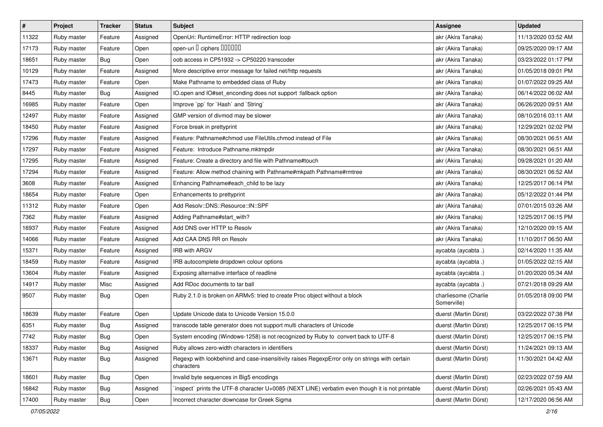| $\sharp$ | Project     | <b>Tracker</b> | <b>Status</b> | <b>Subject</b>                                                                                              | Assignee                            | <b>Updated</b>      |
|----------|-------------|----------------|---------------|-------------------------------------------------------------------------------------------------------------|-------------------------------------|---------------------|
| 11322    | Ruby master | Feature        | Assigned      | OpenUri: RuntimeError: HTTP redirection loop                                                                | akr (Akira Tanaka)                  | 11/13/2020 03:52 AM |
| 17173    | Ruby master | Feature        | Open          | open-uri I ciphers IIIIIII                                                                                  | akr (Akira Tanaka)                  | 09/25/2020 09:17 AM |
| 18651    | Ruby master | Bug            | Open          | oob access in CP51932 -> CP50220 transcoder                                                                 | akr (Akira Tanaka)                  | 03/23/2022 01:17 PM |
| 10129    | Ruby master | Feature        | Assigned      | More descriptive error message for failed net/http requests                                                 | akr (Akira Tanaka)                  | 01/05/2018 09:01 PM |
| 17473    | Ruby master | Feature        | Open          | Make Pathname to embedded class of Ruby                                                                     | akr (Akira Tanaka)                  | 01/07/2022 09:25 AM |
| 8445     | Ruby master | Bug            | Assigned      | IO.open and IO#set_enconding does not support :fallback option                                              | akr (Akira Tanaka)                  | 06/14/2022 06:02 AM |
| 16985    | Ruby master | Feature        | Open          | Improve `pp` for `Hash` and `String`                                                                        | akr (Akira Tanaka)                  | 06/26/2020 09:51 AM |
| 12497    | Ruby master | Feature        | Assigned      | GMP version of divmod may be slower                                                                         | akr (Akira Tanaka)                  | 08/10/2016 03:11 AM |
| 18450    | Ruby master | Feature        | Assigned      | Force break in prettyprint                                                                                  | akr (Akira Tanaka)                  | 12/29/2021 02:02 PM |
| 17296    | Ruby master | Feature        | Assigned      | Feature: Pathname#chmod use FileUtils.chmod instead of File                                                 | akr (Akira Tanaka)                  | 08/30/2021 06:51 AM |
| 17297    | Ruby master | Feature        | Assigned      | Feature: Introduce Pathname.mktmpdir                                                                        | akr (Akira Tanaka)                  | 08/30/2021 06:51 AM |
| 17295    | Ruby master | Feature        | Assigned      | Feature: Create a directory and file with Pathname#touch                                                    | akr (Akira Tanaka)                  | 09/28/2021 01:20 AM |
| 17294    | Ruby master | Feature        | Assigned      | Feature: Allow method chaining with Pathname#mkpath Pathname#rmtree                                         | akr (Akira Tanaka)                  | 08/30/2021 06:52 AM |
| 3608     | Ruby master | Feature        | Assigned      | Enhancing Pathname#each_child to be lazy                                                                    | akr (Akira Tanaka)                  | 12/25/2017 06:14 PM |
| 18654    | Ruby master | Feature        | Open          | Enhancements to prettyprint                                                                                 | akr (Akira Tanaka)                  | 05/12/2022 01:44 PM |
| 11312    | Ruby master | Feature        | Open          | Add Resolv::DNS::Resource::IN::SPF                                                                          | akr (Akira Tanaka)                  | 07/01/2015 03:26 AM |
| 7362     | Ruby master | Feature        | Assigned      | Adding Pathname#start_with?                                                                                 | akr (Akira Tanaka)                  | 12/25/2017 06:15 PM |
| 16937    | Ruby master | Feature        | Assigned      | Add DNS over HTTP to Resolv                                                                                 | akr (Akira Tanaka)                  | 12/10/2020 09:15 AM |
| 14066    | Ruby master | Feature        | Assigned      | Add CAA DNS RR on Resolv                                                                                    | akr (Akira Tanaka)                  | 11/10/2017 06:50 AM |
| 15371    | Ruby master | Feature        | Assigned      | IRB with ARGV                                                                                               | aycabta (aycabta.)                  | 02/14/2020 11:35 AM |
| 18459    | Ruby master | Feature        | Assigned      | IRB autocomplete dropdown colour options                                                                    | aycabta (aycabta.)                  | 01/05/2022 02:15 AM |
| 13604    | Ruby master | Feature        | Assigned      | Exposing alternative interface of readline                                                                  | aycabta (aycabta .)                 | 01/20/2020 05:34 AM |
| 14917    | Ruby master | Misc           | Assigned      | Add RDoc documents to tar ball                                                                              | aycabta (aycabta.)                  | 07/21/2018 09:29 AM |
| 9507     | Ruby master | Bug            | Open          | Ruby 2.1.0 is broken on ARMv5: tried to create Proc object without a block                                  | charliesome (Charlie<br>Somerville) | 01/05/2018 09:00 PM |
| 18639    | Ruby master | Feature        | Open          | Update Unicode data to Unicode Version 15.0.0                                                               | duerst (Martin Dürst)               | 03/22/2022 07:38 PM |
| 6351     | Ruby master | Bug            | Assigned      | transcode table generator does not support multi characters of Unicode                                      | duerst (Martin Dürst)               | 12/25/2017 06:15 PM |
| 7742     | Ruby master | Bug            | Open          | System encoding (Windows-1258) is not recognized by Ruby to convert back to UTF-8                           | duerst (Martin Dürst)               | 12/25/2017 06:15 PM |
| 18337    | Ruby master | Bug            | Assigned      | Ruby allows zero-width characters in identifiers                                                            | duerst (Martin Dürst)               | 11/24/2021 09:13 AM |
| 13671    | Ruby master | <b>Bug</b>     | Assigned      | Regexp with lookbehind and case-insensitivity raises RegexpError only on strings with certain<br>characters | duerst (Martin Dürst)               | 11/30/2021 04:42 AM |
| 18601    | Ruby master | Bug            | Open          | Invalid byte sequences in Big5 encodings                                                                    | duerst (Martin Dürst)               | 02/23/2022 07:59 AM |
| 16842    | Ruby master | <b>Bug</b>     | Assigned      | 'inspect' prints the UTF-8 character U+0085 (NEXT LINE) verbatim even though it is not printable            | duerst (Martin Dürst)               | 02/26/2021 05:43 AM |
| 17400    | Ruby master | <b>Bug</b>     | Open          | Incorrect character downcase for Greek Sigma                                                                | duerst (Martin Dürst)               | 12/17/2020 06:56 AM |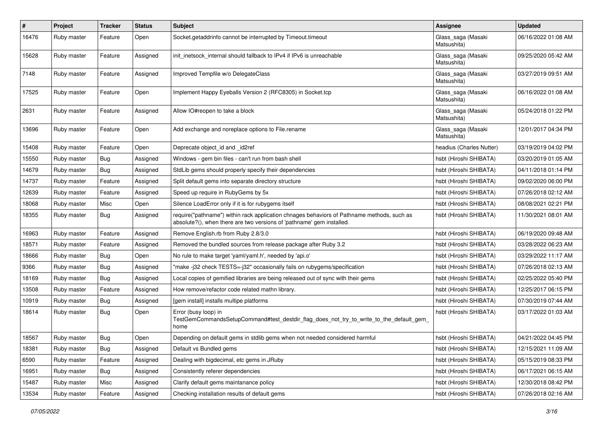| $\pmb{\#}$ | Project     | <b>Tracker</b> | <b>Status</b> | <b>Subject</b>                                                                                                                                                      | <b>Assignee</b>                   | <b>Updated</b>      |
|------------|-------------|----------------|---------------|---------------------------------------------------------------------------------------------------------------------------------------------------------------------|-----------------------------------|---------------------|
| 16476      | Ruby master | Feature        | Open          | Socket.getaddrinfo cannot be interrupted by Timeout.timeout                                                                                                         | Glass_saga (Masaki<br>Matsushita) | 06/16/2022 01:08 AM |
| 15628      | Ruby master | Feature        | Assigned      | init inetsock internal should fallback to IPv4 if IPv6 is unreachable                                                                                               | Glass_saga (Masaki<br>Matsushita) | 09/25/2020 05:42 AM |
| 7148       | Ruby master | Feature        | Assigned      | Improved Tempfile w/o DelegateClass                                                                                                                                 | Glass_saga (Masaki<br>Matsushita) | 03/27/2019 09:51 AM |
| 17525      | Ruby master | Feature        | Open          | Implement Happy Eyeballs Version 2 (RFC8305) in Socket.tcp                                                                                                          | Glass_saga (Masaki<br>Matsushita) | 06/16/2022 01:08 AM |
| 2631       | Ruby master | Feature        | Assigned      | Allow IO#reopen to take a block                                                                                                                                     | Glass_saga (Masaki<br>Matsushita) | 05/24/2018 01:22 PM |
| 13696      | Ruby master | Feature        | Open          | Add exchange and noreplace options to File.rename                                                                                                                   | Glass_saga (Masaki<br>Matsushita) | 12/01/2017 04:34 PM |
| 15408      | Ruby master | Feature        | Open          | Deprecate object_id and _id2ref                                                                                                                                     | headius (Charles Nutter)          | 03/19/2019 04:02 PM |
| 15550      | Ruby master | <b>Bug</b>     | Assigned      | Windows - gem bin files - can't run from bash shell                                                                                                                 | hsbt (Hiroshi SHIBATA)            | 03/20/2019 01:05 AM |
| 14679      | Ruby master | <b>Bug</b>     | Assigned      | StdLib gems should properly specify their dependencies                                                                                                              | hsbt (Hiroshi SHIBATA)            | 04/11/2018 01:14 PM |
| 14737      | Ruby master | Feature        | Assigned      | Split default gems into separate directory structure                                                                                                                | hsbt (Hiroshi SHIBATA)            | 09/02/2020 06:00 PM |
| 12639      | Ruby master | Feature        | Assigned      | Speed up require in RubyGems by 5x                                                                                                                                  | hsbt (Hiroshi SHIBATA)            | 07/26/2018 02:12 AM |
| 18068      | Ruby master | Misc           | Open          | Silence LoadError only if it is for rubygems itself                                                                                                                 | hsbt (Hiroshi SHIBATA)            | 08/08/2021 02:21 PM |
| 18355      | Ruby master | <b>Bug</b>     | Assigned      | require("pathname") within rack application chnages behaviors of Pathname methods, such as<br>absolute?(), when there are two versions of 'pathname' gem installed. | hsbt (Hiroshi SHIBATA)            | 11/30/2021 08:01 AM |
| 16963      | Ruby master | Feature        | Assigned      | Remove English.rb from Ruby 2.8/3.0                                                                                                                                 | hsbt (Hiroshi SHIBATA)            | 06/19/2020 09:48 AM |
| 18571      | Ruby master | Feature        | Assigned      | Removed the bundled sources from release package after Ruby 3.2                                                                                                     | hsbt (Hiroshi SHIBATA)            | 03/28/2022 06:23 AM |
| 18666      | Ruby master | Bug            | Open          | No rule to make target 'yaml/yaml.h', needed by 'api.o'                                                                                                             | hsbt (Hiroshi SHIBATA)            | 03/29/2022 11:17 AM |
| 9366       | Ruby master | <b>Bug</b>     | Assigned      | 'make-j32 check TESTS=-j32" occasionally fails on rubygems/specification                                                                                            | hsbt (Hiroshi SHIBATA)            | 07/26/2018 02:13 AM |
| 18169      | Ruby master | Bug            | Assigned      | Local copies of gemified libraries are being released out of sync with their gems                                                                                   | hsbt (Hiroshi SHIBATA)            | 02/25/2022 05:40 PM |
| 13508      | Ruby master | Feature        | Assigned      | How remove/refactor code related mathn library.                                                                                                                     | hsbt (Hiroshi SHIBATA)            | 12/25/2017 06:15 PM |
| 10919      | Ruby master | <b>Bug</b>     | Assigned      | [gem install] installs multipe platforms                                                                                                                            | hsbt (Hiroshi SHIBATA)            | 07/30/2019 07:44 AM |
| 18614      | Ruby master | Bug            | Open          | Error (busy loop) in<br>TestGemCommandsSetupCommand#test_destdir_flag_does_not_try_to_write_to_the_default_gem_<br>home                                             | hsbt (Hiroshi SHIBATA)            | 03/17/2022 01:03 AM |
| 18567      | Ruby master | Bug            | Open          | Depending on default gems in stdlib gems when not needed considered harmful                                                                                         | hsbt (Hiroshi SHIBATA)            | 04/21/2022 04:45 PM |
| 18381      | Ruby master | <b>Bug</b>     | Assigned      | Default vs Bundled gems                                                                                                                                             | hsbt (Hiroshi SHIBATA)            | 12/15/2021 11:09 AM |
| 6590       | Ruby master | Feature        | Assigned      | Dealing with bigdecimal, etc gems in JRuby                                                                                                                          | hsbt (Hiroshi SHIBATA)            | 05/15/2019 08:33 PM |
| 16951      | Ruby master | Bug            | Assigned      | Consistently referer dependencies                                                                                                                                   | hsbt (Hiroshi SHIBATA)            | 06/17/2021 06:15 AM |
| 15487      | Ruby master | Misc           | Assigned      | Clarify default gems maintanance policy                                                                                                                             | hsbt (Hiroshi SHIBATA)            | 12/30/2018 08:42 PM |
| 13534      | Ruby master | Feature        | Assigned      | Checking installation results of default gems                                                                                                                       | hsbt (Hiroshi SHIBATA)            | 07/26/2018 02:16 AM |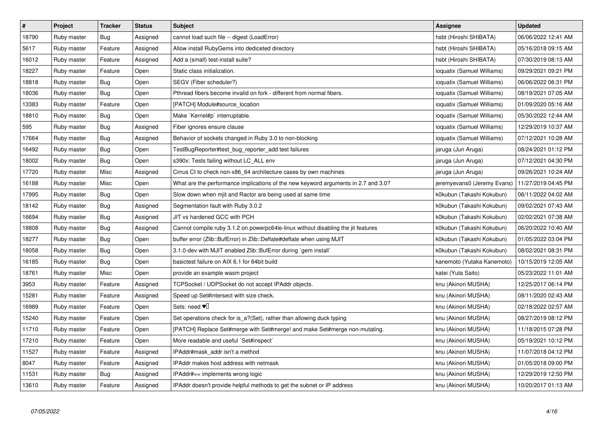| $\sharp$ | Project     | <b>Tracker</b> | <b>Status</b> | <b>Subject</b>                                                                     | <b>Assignee</b>             | <b>Updated</b>      |
|----------|-------------|----------------|---------------|------------------------------------------------------------------------------------|-----------------------------|---------------------|
| 18790    | Ruby master | Bug            | Assigned      | cannot load such file -- digest (LoadError)                                        | hsbt (Hiroshi SHIBATA)      | 06/06/2022 12:41 AM |
| 5617     | Ruby master | Feature        | Assigned      | Allow install RubyGems into dediceted directory                                    | hsbt (Hiroshi SHIBATA)      | 05/16/2018 09:15 AM |
| 16012    | Ruby master | Feature        | Assigned      | Add a (small) test-install suite?                                                  | hsbt (Hiroshi SHIBATA)      | 07/30/2019 08:13 AM |
| 18227    | Ruby master | Feature        | Open          | Static class initialization.                                                       | ioquatix (Samuel Williams)  | 09/29/2021 09:21 PM |
| 18818    | Ruby master | <b>Bug</b>     | Open          | SEGV (Fiber scheduler?)                                                            | ioquatix (Samuel Williams)  | 06/06/2022 06:31 PM |
| 18036    | Ruby master | <b>Bug</b>     | Open          | Pthread fibers become invalid on fork - different from normal fibers.              | ioquatix (Samuel Williams)  | 08/19/2021 07:05 AM |
| 13383    | Ruby master | Feature        | Open          | [PATCH] Module#source location                                                     | ioquatix (Samuel Williams)  | 01/09/2020 05:16 AM |
| 18810    | Ruby master | <b>Bug</b>     | Open          | Make `Kernel#p` interruptable.                                                     | ioquatix (Samuel Williams)  | 05/30/2022 12:44 AM |
| 595      | Ruby master | Bug            | Assigned      | Fiber ignores ensure clause                                                        | ioquatix (Samuel Williams)  | 12/29/2019 10:37 AM |
| 17664    | Ruby master | Bug            | Assigned      | Behavior of sockets changed in Ruby 3.0 to non-blocking                            | ioquatix (Samuel Williams)  | 07/12/2021 10:28 AM |
| 16492    | Ruby master | Bug            | Open          | TestBugReporter#test_bug_reporter_add test failures                                | jaruga (Jun Aruga)          | 08/24/2021 01:12 PM |
| 18002    | Ruby master | <b>Bug</b>     | Open          | s390x: Tests failing without LC ALL env                                            | jaruga (Jun Aruga)          | 07/12/2021 04:30 PM |
| 17720    | Ruby master | Misc           | Assigned      | Cirrus CI to check non-x86_64 architecture cases by own machines                   | jaruga (Jun Aruga)          | 09/26/2021 10:24 AM |
| 16188    | Ruby master | Misc           | Open          | What are the performance implications of the new keyword arguments in 2.7 and 3.0? | jeremyevans0 (Jeremy Evans) | 11/27/2019 04:45 PM |
| 17995    | Ruby master | Bug            | Open          | Slow down when mjit and Ractor are being used at same time                         | k0kubun (Takashi Kokubun)   | 06/11/2022 04:02 AM |
| 18142    | Ruby master | Bug            | Assigned      | Segmentation fault with Ruby 3.0.2                                                 | k0kubun (Takashi Kokubun)   | 09/02/2021 07:43 AM |
| 16694    | Ruby master | <b>Bug</b>     | Assigned      | JIT vs hardened GCC with PCH                                                       | k0kubun (Takashi Kokubun)   | 02/02/2021 07:38 AM |
| 18808    | Ruby master | Bug            | Assigned      | Cannot compile ruby 3.1.2 on powerpc64le-linux without disabling the jit features  | k0kubun (Takashi Kokubun)   | 06/20/2022 10:40 AM |
| 18277    | Ruby master | <b>Bug</b>     | Open          | buffer error (Zlib::BufError) in Zlib::Deflate#deflate when using MJIT             | k0kubun (Takashi Kokubun)   | 01/05/2022 03:04 PM |
| 18058    | Ruby master | <b>Bug</b>     | Open          | 3.1.0-dev with MJIT enabled Zlib::BufError during `gem install                     | k0kubun (Takashi Kokubun)   | 08/02/2021 08:31 PM |
| 16185    | Ruby master | <b>Bug</b>     | Open          | basictest failure on AIX 6.1 for 64bit build                                       | kanemoto (Yutaka Kanemoto)  | 10/15/2019 12:05 AM |
| 18761    | Ruby master | Misc           | Open          | provide an example wasm project                                                    | katei (Yuta Saito)          | 05/23/2022 11:01 AM |
| 3953     | Ruby master | Feature        | Assigned      | TCPSocket / UDPSocket do not accept IPAddr objects.                                | knu (Akinori MUSHA)         | 12/25/2017 06:14 PM |
| 15281    | Ruby master | Feature        | Assigned      | Speed up Set#intersect with size check.                                            | knu (Akinori MUSHA)         | 08/11/2020 02:43 AM |
| 16989    | Ruby master | Feature        | Open          | Sets: need $\Psi$                                                                  | knu (Akinori MUSHA)         | 02/18/2022 02:57 AM |
| 15240    | Ruby master | Feature        | Open          | Set operations check for is_a?(Set), rather than allowing duck typing              | knu (Akinori MUSHA)         | 08/27/2019 08:12 PM |
| 11710    | Ruby master | Feature        | Open          | [PATCH] Replace Set#merge with Set#merge! and make Set#merge non-mutating.         | knu (Akinori MUSHA)         | 11/18/2015 07:28 PM |
| 17210    | Ruby master | Feature        | Open          | More readable and useful `Set#inspect`                                             | knu (Akinori MUSHA)         | 05/19/2021 10:12 PM |
| 11527    | Ruby master | Feature        | Assigned      | IPAddr#mask_addr isn't a method                                                    | knu (Akinori MUSHA)         | 11/07/2018 04:12 PM |
| 8047     | Ruby master | Feature        | Assigned      | IPAddr makes host address with netmask                                             | knu (Akinori MUSHA)         | 01/05/2018 09:00 PM |
| 11531    | Ruby master | Bug            | Assigned      | IPAddr#== implements wrong logic                                                   | knu (Akinori MUSHA)         | 12/29/2019 12:50 PM |
| 13610    | Ruby master | Feature        | Assigned      | IPAddr doesn't provide helpful methods to get the subnet or IP address             | knu (Akinori MUSHA)         | 10/20/2017 01:13 AM |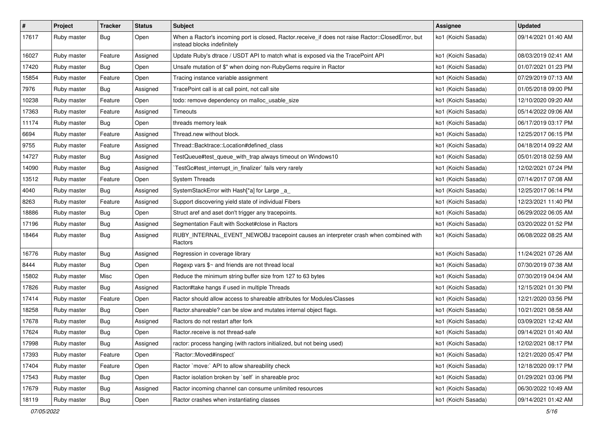| $\sharp$ | Project     | <b>Tracker</b> | <b>Status</b> | Subject                                                                                                                           | Assignee            | <b>Updated</b>      |
|----------|-------------|----------------|---------------|-----------------------------------------------------------------------------------------------------------------------------------|---------------------|---------------------|
| 17617    | Ruby master | Bug            | Open          | When a Ractor's incoming port is closed, Ractor.receive_if does not raise Ractor::ClosedError, but<br>instead blocks indefinitely | ko1 (Koichi Sasada) | 09/14/2021 01:40 AM |
| 16027    | Ruby master | Feature        | Assigned      | Update Ruby's dtrace / USDT API to match what is exposed via the TracePoint API                                                   | ko1 (Koichi Sasada) | 08/03/2019 02:41 AM |
| 17420    | Ruby master | Bug            | Open          | Unsafe mutation of \$" when doing non-RubyGems require in Ractor                                                                  | ko1 (Koichi Sasada) | 01/07/2021 01:23 PM |
| 15854    | Ruby master | Feature        | Open          | Tracing instance variable assignment                                                                                              | ko1 (Koichi Sasada) | 07/29/2019 07:13 AM |
| 7976     | Ruby master | Bug            | Assigned      | TracePoint call is at call point, not call site                                                                                   | ko1 (Koichi Sasada) | 01/05/2018 09:00 PM |
| 10238    | Ruby master | Feature        | Open          | todo: remove dependency on malloc_usable_size                                                                                     | ko1 (Koichi Sasada) | 12/10/2020 09:20 AM |
| 17363    | Ruby master | Feature        | Assigned      | Timeouts                                                                                                                          | ko1 (Koichi Sasada) | 05/14/2022 09:06 AM |
| 11174    | Ruby master | Bug            | Open          | threads memory leak                                                                                                               | ko1 (Koichi Sasada) | 06/17/2019 03:17 PM |
| 6694     | Ruby master | Feature        | Assigned      | Thread.new without block.                                                                                                         | ko1 (Koichi Sasada) | 12/25/2017 06:15 PM |
| 9755     | Ruby master | Feature        | Assigned      | Thread::Backtrace::Location#defined class                                                                                         | ko1 (Koichi Sasada) | 04/18/2014 09:22 AM |
| 14727    | Ruby master | Bug            | Assigned      | TestQueue#test_queue_with_trap always timeout on Windows10                                                                        | ko1 (Koichi Sasada) | 05/01/2018 02:59 AM |
| 14090    | Ruby master | Bug            | Assigned      | TestGc#test_interrupt_in_finalizer` fails very rarely                                                                             | ko1 (Koichi Sasada) | 12/02/2021 07:24 PM |
| 13512    | Ruby master | Feature        | Open          | <b>System Threads</b>                                                                                                             | ko1 (Koichi Sasada) | 07/14/2017 07:08 AM |
| 4040     | Ruby master | Bug            | Assigned      | SystemStackError with Hash[*a] for Large _a_                                                                                      | ko1 (Koichi Sasada) | 12/25/2017 06:14 PM |
| 8263     | Ruby master | Feature        | Assigned      | Support discovering yield state of individual Fibers                                                                              | ko1 (Koichi Sasada) | 12/23/2021 11:40 PM |
| 18886    | Ruby master | Bug            | Open          | Struct aref and aset don't trigger any tracepoints.                                                                               | ko1 (Koichi Sasada) | 06/29/2022 06:05 AM |
| 17196    | Ruby master | Bug            | Assigned      | Segmentation Fault with Socket#close in Ractors                                                                                   | ko1 (Koichi Sasada) | 03/20/2022 01:52 PM |
| 18464    | Ruby master | Bug            | Assigned      | RUBY_INTERNAL_EVENT_NEWOBJ tracepoint causes an interpreter crash when combined with<br>Ractors                                   | ko1 (Koichi Sasada) | 06/08/2022 08:25 AM |
| 16776    | Ruby master | <b>Bug</b>     | Assigned      | Regression in coverage library                                                                                                    | ko1 (Koichi Sasada) | 11/24/2021 07:26 AM |
| 8444     | Ruby master | Bug            | Open          | Regexp vars $\frac{6}{5}$ and friends are not thread local                                                                        | ko1 (Koichi Sasada) | 07/30/2019 07:38 AM |
| 15802    | Ruby master | Misc           | Open          | Reduce the minimum string buffer size from 127 to 63 bytes                                                                        | ko1 (Koichi Sasada) | 07/30/2019 04:04 AM |
| 17826    | Ruby master | Bug            | Assigned      | Ractor#take hangs if used in multiple Threads                                                                                     | ko1 (Koichi Sasada) | 12/15/2021 01:30 PM |
| 17414    | Ruby master | Feature        | Open          | Ractor should allow access to shareable attributes for Modules/Classes                                                            | ko1 (Koichi Sasada) | 12/21/2020 03:56 PM |
| 18258    | Ruby master | <b>Bug</b>     | Open          | Ractor shareable? can be slow and mutates internal object flags.                                                                  | ko1 (Koichi Sasada) | 10/21/2021 08:58 AM |
| 17678    | Ruby master | Bug            | Assigned      | Ractors do not restart after fork                                                                                                 | ko1 (Koichi Sasada) | 03/09/2021 12:42 AM |
| 17624    | Ruby master | <b>Bug</b>     | Open          | Ractor.receive is not thread-safe                                                                                                 | ko1 (Koichi Sasada) | 09/14/2021 01:40 AM |
| 17998    | Ruby master | Bug            | Assigned      | ractor: process hanging (with ractors initialized, but not being used)                                                            | ko1 (Koichi Sasada) | 12/02/2021 08:17 PM |
| 17393    | Ruby master | Feature        | Open          | 'Ractor::Moved#inspect'                                                                                                           | ko1 (Koichi Sasada) | 12/21/2020 05:47 PM |
| 17404    | Ruby master | Feature        | Open          | Ractor `move:` API to allow shareability check                                                                                    | ko1 (Koichi Sasada) | 12/18/2020 09:17 PM |
| 17543    | Ruby master | Bug            | Open          | Ractor isolation broken by `self` in shareable proc                                                                               | ko1 (Koichi Sasada) | 01/29/2021 03:06 PM |
| 17679    | Ruby master | Bug            | Assigned      | Ractor incoming channel can consume unlimited resources                                                                           | ko1 (Koichi Sasada) | 06/30/2022 10:49 AM |
| 18119    | Ruby master | Bug            | Open          | Ractor crashes when instantiating classes                                                                                         | ko1 (Koichi Sasada) | 09/14/2021 01:42 AM |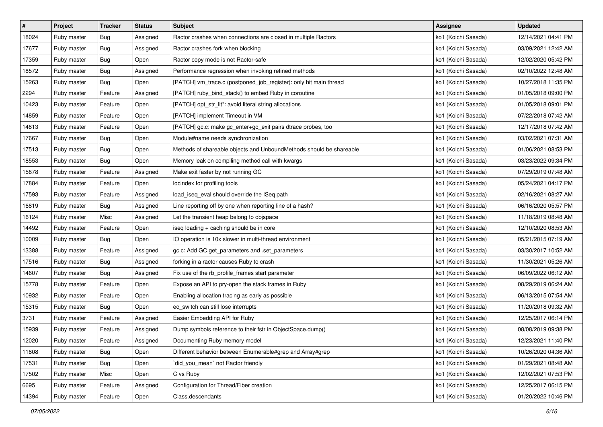| $\sharp$ | Project     | <b>Tracker</b> | <b>Status</b> | <b>Subject</b>                                                      | <b>Assignee</b>     | <b>Updated</b>      |
|----------|-------------|----------------|---------------|---------------------------------------------------------------------|---------------------|---------------------|
| 18024    | Ruby master | Bug            | Assigned      | Ractor crashes when connections are closed in multiple Ractors      | ko1 (Koichi Sasada) | 12/14/2021 04:41 PM |
| 17677    | Ruby master | Bug            | Assigned      | Ractor crashes fork when blocking                                   | ko1 (Koichi Sasada) | 03/09/2021 12:42 AM |
| 17359    | Ruby master | Bug            | Open          | Ractor copy mode is not Ractor-safe                                 | ko1 (Koichi Sasada) | 12/02/2020 05:42 PM |
| 18572    | Ruby master | Bug            | Assigned      | Performance regression when invoking refined methods                | ko1 (Koichi Sasada) | 02/10/2022 12:48 AM |
| 15263    | Ruby master | Bug            | Open          | [PATCH] vm_trace.c (postponed_job_register): only hit main thread   | ko1 (Koichi Sasada) | 10/27/2018 11:35 PM |
| 2294     | Ruby master | Feature        | Assigned      | [PATCH] ruby_bind_stack() to embed Ruby in coroutine                | ko1 (Koichi Sasada) | 01/05/2018 09:00 PM |
| 10423    | Ruby master | Feature        | Open          | [PATCH] opt_str_lit*: avoid literal string allocations              | ko1 (Koichi Sasada) | 01/05/2018 09:01 PM |
| 14859    | Ruby master | Feature        | Open          | [PATCH] implement Timeout in VM                                     | ko1 (Koichi Sasada) | 07/22/2018 07:42 AM |
| 14813    | Ruby master | Feature        | Open          | [PATCH] gc.c: make gc_enter+gc_exit pairs dtrace probes, too        | ko1 (Koichi Sasada) | 12/17/2018 07:42 AM |
| 17667    | Ruby master | Bug            | Open          | Module#name needs synchronization                                   | ko1 (Koichi Sasada) | 03/02/2021 07:31 AM |
| 17513    | Ruby master | Bug            | Open          | Methods of shareable objects and UnboundMethods should be shareable | ko1 (Koichi Sasada) | 01/06/2021 08:53 PM |
| 18553    | Ruby master | Bug            | Open          | Memory leak on compiling method call with kwargs                    | ko1 (Koichi Sasada) | 03/23/2022 09:34 PM |
| 15878    | Ruby master | Feature        | Assigned      | Make exit faster by not running GC                                  | ko1 (Koichi Sasada) | 07/29/2019 07:48 AM |
| 17884    | Ruby master | Feature        | Open          | locindex for profiling tools                                        | ko1 (Koichi Sasada) | 05/24/2021 04:17 PM |
| 17593    | Ruby master | Feature        | Assigned      | load_iseq_eval should override the ISeq path                        | ko1 (Koichi Sasada) | 02/16/2021 08:27 AM |
| 16819    | Ruby master | Bug            | Assigned      | Line reporting off by one when reporting line of a hash?            | ko1 (Koichi Sasada) | 06/16/2020 05:57 PM |
| 16124    | Ruby master | Misc           | Assigned      | Let the transient heap belong to objspace                           | ko1 (Koichi Sasada) | 11/18/2019 08:48 AM |
| 14492    | Ruby master | Feature        | Open          | iseq loading + caching should be in core                            | ko1 (Koichi Sasada) | 12/10/2020 08:53 AM |
| 10009    | Ruby master | Bug            | Open          | IO operation is 10x slower in multi-thread environment              | ko1 (Koichi Sasada) | 05/21/2015 07:19 AM |
| 13388    | Ruby master | Feature        | Assigned      | gc.c: Add GC.get_parameters and .set_parameters                     | ko1 (Koichi Sasada) | 03/30/2017 10:52 AM |
| 17516    | Ruby master | Bug            | Assigned      | forking in a ractor causes Ruby to crash                            | ko1 (Koichi Sasada) | 11/30/2021 05:26 AM |
| 14607    | Ruby master | Bug            | Assigned      | Fix use of the rb_profile_frames start parameter                    | ko1 (Koichi Sasada) | 06/09/2022 06:12 AM |
| 15778    | Ruby master | Feature        | Open          | Expose an API to pry-open the stack frames in Ruby                  | ko1 (Koichi Sasada) | 08/29/2019 06:24 AM |
| 10932    | Ruby master | Feature        | Open          | Enabling allocation tracing as early as possible                    | ko1 (Koichi Sasada) | 06/13/2015 07:54 AM |
| 15315    | Ruby master | Bug            | Open          | ec_switch can still lose interrupts                                 | ko1 (Koichi Sasada) | 11/20/2018 09:32 AM |
| 3731     | Ruby master | Feature        | Assigned      | Easier Embedding API for Ruby                                       | ko1 (Koichi Sasada) | 12/25/2017 06:14 PM |
| 15939    | Ruby master | Feature        | Assigned      | Dump symbols reference to their fstr in ObjectSpace.dump()          | ko1 (Koichi Sasada) | 08/08/2019 09:38 PM |
| 12020    | Ruby master | Feature        | Assigned      | Documenting Ruby memory model                                       | ko1 (Koichi Sasada) | 12/23/2021 11:40 PM |
| 11808    | Ruby master | Bug            | Open          | Different behavior between Enumerable#grep and Array#grep           | ko1 (Koichi Sasada) | 10/26/2020 04:36 AM |
| 17531    | Ruby master | Bug            | Open          | did_you_mean` not Ractor friendly                                   | ko1 (Koichi Sasada) | 01/29/2021 08:48 AM |
| 17502    | Ruby master | Misc           | Open          | C vs Ruby                                                           | ko1 (Koichi Sasada) | 12/02/2021 07:53 PM |
| 6695     | Ruby master | Feature        | Assigned      | Configuration for Thread/Fiber creation                             | ko1 (Koichi Sasada) | 12/25/2017 06:15 PM |
| 14394    | Ruby master | Feature        | Open          | Class.descendants                                                   | ko1 (Koichi Sasada) | 01/20/2022 10:46 PM |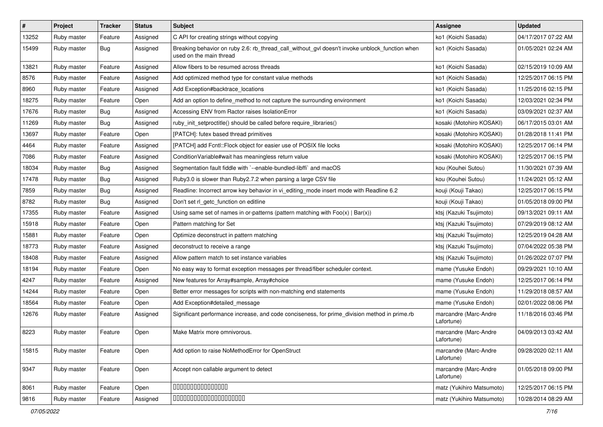| #     | Project     | <b>Tracker</b> | <b>Status</b> | Subject                                                                                                                   | <b>Assignee</b>                     | <b>Updated</b>      |
|-------|-------------|----------------|---------------|---------------------------------------------------------------------------------------------------------------------------|-------------------------------------|---------------------|
| 13252 | Ruby master | Feature        | Assigned      | C API for creating strings without copying                                                                                | ko1 (Koichi Sasada)                 | 04/17/2017 07:22 AM |
| 15499 | Ruby master | <b>Bug</b>     | Assigned      | Breaking behavior on ruby 2.6: rb_thread_call_without_gvl doesn't invoke unblock_function when<br>used on the main thread | ko1 (Koichi Sasada)                 | 01/05/2021 02:24 AM |
| 13821 | Ruby master | Feature        | Assigned      | Allow fibers to be resumed across threads                                                                                 | ko1 (Koichi Sasada)                 | 02/15/2019 10:09 AM |
| 8576  | Ruby master | Feature        | Assigned      | Add optimized method type for constant value methods                                                                      | ko1 (Koichi Sasada)                 | 12/25/2017 06:15 PM |
| 8960  | Ruby master | Feature        | Assigned      | Add Exception#backtrace locations                                                                                         | ko1 (Koichi Sasada)                 | 11/25/2016 02:15 PM |
| 18275 | Ruby master | Feature        | Open          | Add an option to define_method to not capture the surrounding environment                                                 | ko1 (Koichi Sasada)                 | 12/03/2021 02:34 PM |
| 17676 | Ruby master | Bug            | Assigned      | Accessing ENV from Ractor raises IsolationError                                                                           | ko1 (Koichi Sasada)                 | 03/09/2021 02:37 AM |
| 11269 | Ruby master | <b>Bug</b>     | Assigned      | ruby init setproctitle() should be called before require libraries()                                                      | kosaki (Motohiro KOSAKI)            | 06/17/2015 03:01 AM |
| 13697 | Ruby master | Feature        | Open          | [PATCH]: futex based thread primitives                                                                                    | kosaki (Motohiro KOSAKI)            | 01/28/2018 11:41 PM |
| 4464  | Ruby master | Feature        | Assigned      | [PATCH] add Fcntl:: Flock object for easier use of POSIX file locks                                                       | kosaki (Motohiro KOSAKI)            | 12/25/2017 06:14 PM |
| 7086  | Ruby master | Feature        | Assigned      | Condition Variable#wait has meaningless return value                                                                      | kosaki (Motohiro KOSAKI)            | 12/25/2017 06:15 PM |
| 18034 | Ruby master | Bug            | Assigned      | Segmentation fault fiddle with `--enable-bundled-libffi` and macOS                                                        | kou (Kouhei Sutou)                  | 11/30/2021 07:39 AM |
| 17478 | Ruby master | Bug            | Assigned      | Ruby3.0 is slower than Ruby2.7.2 when parsing a large CSV file                                                            | kou (Kouhei Sutou)                  | 11/24/2021 05:12 AM |
| 7859  | Ruby master | Bug            | Assigned      | Readline: Incorrect arrow key behavior in vi_editing_mode insert mode with Readline 6.2                                   | kouji (Kouji Takao)                 | 12/25/2017 06:15 PM |
| 8782  | Ruby master | Bug            | Assigned      | Don't set rl_getc_function on editline                                                                                    | kouji (Kouji Takao)                 | 01/05/2018 09:00 PM |
| 17355 | Ruby master | Feature        | Assigned      | Using same set of names in or-patterns (pattern matching with $Foo(x)   Bar(x)$ )                                         | ktsj (Kazuki Tsujimoto)             | 09/13/2021 09:11 AM |
| 15918 | Ruby master | Feature        | Open          | Pattern matching for Set                                                                                                  | ktsj (Kazuki Tsujimoto)             | 07/29/2019 08:12 AM |
| 15881 | Ruby master | Feature        | Open          | Optimize deconstruct in pattern matching                                                                                  | ktsj (Kazuki Tsujimoto)             | 12/25/2019 04:28 AM |
| 18773 | Ruby master | Feature        | Assigned      | deconstruct to receive a range                                                                                            | ktsj (Kazuki Tsujimoto)             | 07/04/2022 05:38 PM |
| 18408 | Ruby master | Feature        | Assigned      | Allow pattern match to set instance variables                                                                             | ktsj (Kazuki Tsujimoto)             | 01/26/2022 07:07 PM |
| 18194 | Ruby master | Feature        | Open          | No easy way to format exception messages per thread/fiber scheduler context.                                              | mame (Yusuke Endoh)                 | 09/29/2021 10:10 AM |
| 4247  | Ruby master | Feature        | Assigned      | New features for Array#sample, Array#choice                                                                               | mame (Yusuke Endoh)                 | 12/25/2017 06:14 PM |
| 14244 | Ruby master | Feature        | Open          | Better error messages for scripts with non-matching end statements                                                        | mame (Yusuke Endoh)                 | 11/29/2018 08:57 AM |
| 18564 | Ruby master | Feature        | Open          | Add Exception#detailed_message                                                                                            | mame (Yusuke Endoh)                 | 02/01/2022 08:06 PM |
| 12676 | Ruby master | Feature        | Assigned      | Significant performance increase, and code conciseness, for prime_division method in prime.rb                             | marcandre (Marc-Andre<br>Lafortune) | 11/18/2016 03:46 PM |
| 8223  | Ruby master | Feature        | Open          | Make Matrix more omnivorous.                                                                                              | marcandre (Marc-Andre<br>Lafortune) | 04/09/2013 03:42 AM |
| 15815 | Ruby master | Feature        | Open          | Add option to raise NoMethodError for OpenStruct                                                                          | marcandre (Marc-Andre<br>Lafortune) | 09/28/2020 02:11 AM |
| 9347  | Ruby master | Feature        | Open          | Accept non callable argument to detect                                                                                    | marcandre (Marc-Andre<br>Lafortune) | 01/05/2018 09:00 PM |
| 8061  | Ruby master | Feature        | Open          | 00000000000000                                                                                                            | matz (Yukihiro Matsumoto)           | 12/25/2017 06:15 PM |
| 9816  | Ruby master | Feature        | Assigned      | 00000000000000000000                                                                                                      | matz (Yukihiro Matsumoto)           | 10/28/2014 08:29 AM |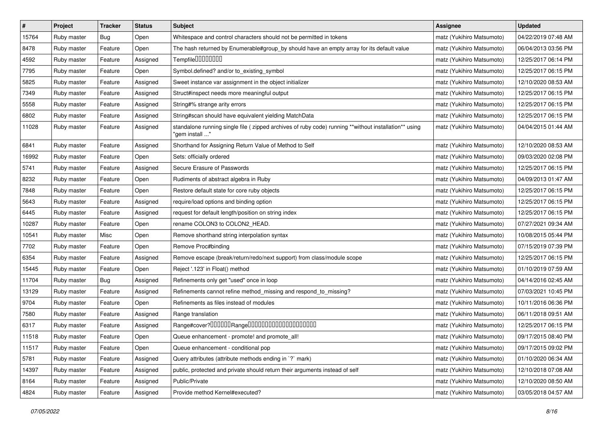| $\pmb{\#}$ | Project     | <b>Tracker</b> | <b>Status</b> | Subject                                                                                                                | <b>Assignee</b>           | <b>Updated</b>      |
|------------|-------------|----------------|---------------|------------------------------------------------------------------------------------------------------------------------|---------------------------|---------------------|
| 15764      | Ruby master | <b>Bug</b>     | Open          | Whitespace and control characters should not be permitted in tokens                                                    | matz (Yukihiro Matsumoto) | 04/22/2019 07:48 AM |
| 8478       | Ruby master | Feature        | Open          | The hash returned by Enumerable#group_by should have an empty array for its default value                              | matz (Yukihiro Matsumoto) | 06/04/2013 03:56 PM |
| 4592       | Ruby master | Feature        | Assigned      | Tempfile0000000                                                                                                        | matz (Yukihiro Matsumoto) | 12/25/2017 06:14 PM |
| 7795       | Ruby master | Feature        | Open          | Symbol.defined? and/or to_existing_symbol                                                                              | matz (Yukihiro Matsumoto) | 12/25/2017 06:15 PM |
| 5825       | Ruby master | Feature        | Assigned      | Sweet instance var assignment in the object initializer                                                                | matz (Yukihiro Matsumoto) | 12/10/2020 08:53 AM |
| 7349       | Ruby master | Feature        | Assigned      | Struct#inspect needs more meaningful output                                                                            | matz (Yukihiro Matsumoto) | 12/25/2017 06:15 PM |
| 5558       | Ruby master | Feature        | Assigned      | String#% strange arity errors                                                                                          | matz (Yukihiro Matsumoto) | 12/25/2017 06:15 PM |
| 6802       | Ruby master | Feature        | Assigned      | String#scan should have equivalent yielding MatchData                                                                  | matz (Yukihiro Matsumoto) | 12/25/2017 06:15 PM |
| 11028      | Ruby master | Feature        | Assigned      | standalone running single file (zipped archives of ruby code) running **without installation** using<br>"gem install " | matz (Yukihiro Matsumoto) | 04/04/2015 01:44 AM |
| 6841       | Ruby master | Feature        | Assigned      | Shorthand for Assigning Return Value of Method to Self                                                                 | matz (Yukihiro Matsumoto) | 12/10/2020 08:53 AM |
| 16992      | Ruby master | Feature        | Open          | Sets: officially ordered                                                                                               | matz (Yukihiro Matsumoto) | 09/03/2020 02:08 PM |
| 5741       | Ruby master | Feature        | Assigned      | Secure Erasure of Passwords                                                                                            | matz (Yukihiro Matsumoto) | 12/25/2017 06:15 PM |
| 8232       | Ruby master | Feature        | Open          | Rudiments of abstract algebra in Ruby                                                                                  | matz (Yukihiro Matsumoto) | 04/09/2013 01:47 AM |
| 7848       | Ruby master | Feature        | Open          | Restore default state for core ruby objects                                                                            | matz (Yukihiro Matsumoto) | 12/25/2017 06:15 PM |
| 5643       | Ruby master | Feature        | Assigned      | require/load options and binding option                                                                                | matz (Yukihiro Matsumoto) | 12/25/2017 06:15 PM |
| 6445       | Ruby master | Feature        | Assigned      | request for default length/position on string index                                                                    | matz (Yukihiro Matsumoto) | 12/25/2017 06:15 PM |
| 10287      | Ruby master | Feature        | Open          | rename COLON3 to COLON2_HEAD.                                                                                          | matz (Yukihiro Matsumoto) | 07/27/2021 09:34 AM |
| 10541      | Ruby master | Misc           | Open          | Remove shorthand string interpolation syntax                                                                           | matz (Yukihiro Matsumoto) | 10/08/2015 05:44 PM |
| 7702       | Ruby master | Feature        | Open          | Remove Proc#binding                                                                                                    | matz (Yukihiro Matsumoto) | 07/15/2019 07:39 PM |
| 6354       | Ruby master | Feature        | Assigned      | Remove escape (break/return/redo/next support) from class/module scope                                                 | matz (Yukihiro Matsumoto) | 12/25/2017 06:15 PM |
| 15445      | Ruby master | Feature        | Open          | Reject '.123' in Float() method                                                                                        | matz (Yukihiro Matsumoto) | 01/10/2019 07:59 AM |
| 11704      | Ruby master | Bug            | Assigned      | Refinements only get "used" once in loop                                                                               | matz (Yukihiro Matsumoto) | 04/14/2016 02:45 AM |
| 13129      | Ruby master | Feature        | Assigned      | Refinements cannot refine method_missing and respond_to_missing?                                                       | matz (Yukihiro Matsumoto) | 07/03/2021 10:45 PM |
| 9704       | Ruby master | Feature        | Open          | Refinements as files instead of modules                                                                                | matz (Yukihiro Matsumoto) | 10/11/2016 06:36 PM |
| 7580       | Ruby master | Feature        | Assigned      | Range translation                                                                                                      | matz (Yukihiro Matsumoto) | 06/11/2018 09:51 AM |
| 6317       | Ruby master | Feature        | Assigned      | Range#cover?000000Range00000000000000000000                                                                            | matz (Yukihiro Matsumoto) | 12/25/2017 06:15 PM |
| 11518      | Ruby master | Feature        | Open          | Queue enhancement - promote! and promote_all!                                                                          | matz (Yukihiro Matsumoto) | 09/17/2015 08:40 PM |
| 11517      | Ruby master | Feature        | Open          | Queue enhancement - conditional pop                                                                                    | matz (Yukihiro Matsumoto) | 09/17/2015 09:02 PM |
| 5781       | Ruby master | Feature        | Assigned      | Query attributes (attribute methods ending in `?` mark)                                                                | matz (Yukihiro Matsumoto) | 01/10/2020 06:34 AM |
| 14397      | Ruby master | Feature        | Assigned      | public, protected and private should return their arguments instead of self                                            | matz (Yukihiro Matsumoto) | 12/10/2018 07:08 AM |
| 8164       | Ruby master | Feature        | Assigned      | Public/Private                                                                                                         | matz (Yukihiro Matsumoto) | 12/10/2020 08:50 AM |
| 4824       | Ruby master | Feature        | Assigned      | Provide method Kernel#executed?                                                                                        | matz (Yukihiro Matsumoto) | 03/05/2018 04:57 AM |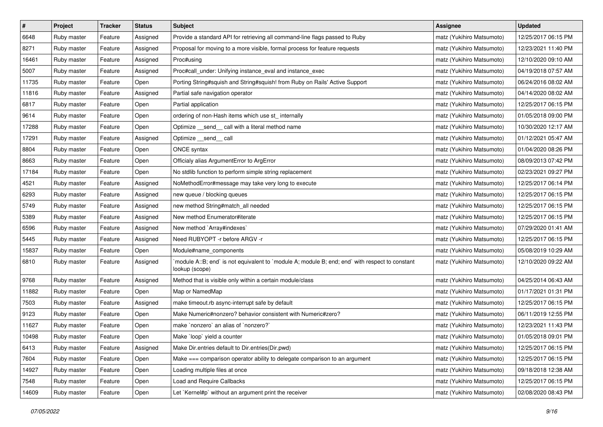| $\pmb{\#}$ | Project     | <b>Tracker</b> | <b>Status</b> | Subject                                                                                                          | Assignee                  | <b>Updated</b>      |
|------------|-------------|----------------|---------------|------------------------------------------------------------------------------------------------------------------|---------------------------|---------------------|
| 6648       | Ruby master | Feature        | Assigned      | Provide a standard API for retrieving all command-line flags passed to Ruby                                      | matz (Yukihiro Matsumoto) | 12/25/2017 06:15 PM |
| 8271       | Ruby master | Feature        | Assigned      | Proposal for moving to a more visible, formal process for feature requests                                       | matz (Yukihiro Matsumoto) | 12/23/2021 11:40 PM |
| 16461      | Ruby master | Feature        | Assigned      | Proc#using                                                                                                       | matz (Yukihiro Matsumoto) | 12/10/2020 09:10 AM |
| 5007       | Ruby master | Feature        | Assigned      | Proc#call_under: Unifying instance_eval and instance_exec                                                        | matz (Yukihiro Matsumoto) | 04/19/2018 07:57 AM |
| 11735      | Ruby master | Feature        | Open          | Porting String#squish and String#squish! from Ruby on Rails' Active Support                                      | matz (Yukihiro Matsumoto) | 06/24/2016 08:02 AM |
| 11816      | Ruby master | Feature        | Assigned      | Partial safe navigation operator                                                                                 | matz (Yukihiro Matsumoto) | 04/14/2020 08:02 AM |
| 6817       | Ruby master | Feature        | Open          | Partial application                                                                                              | matz (Yukihiro Matsumoto) | 12/25/2017 06:15 PM |
| 9614       | Ruby master | Feature        | Open          | ordering of non-Hash items which use st_ internally                                                              | matz (Yukihiro Matsumoto) | 01/05/2018 09:00 PM |
| 17288      | Ruby master | Feature        | Open          | Optimize _send_ call with a literal method name                                                                  | matz (Yukihiro Matsumoto) | 10/30/2020 12:17 AM |
| 17291      | Ruby master | Feature        | Assigned      | Optimize __send__ call                                                                                           | matz (Yukihiro Matsumoto) | 01/12/2021 05:47 AM |
| 8804       | Ruby master | Feature        | Open          | ONCE syntax                                                                                                      | matz (Yukihiro Matsumoto) | 01/04/2020 08:26 PM |
| 8663       | Ruby master | Feature        | Open          | Officialy alias ArgumentError to ArgError                                                                        | matz (Yukihiro Matsumoto) | 08/09/2013 07:42 PM |
| 17184      | Ruby master | Feature        | Open          | No stdlib function to perform simple string replacement                                                          | matz (Yukihiro Matsumoto) | 02/23/2021 09:27 PM |
| 4521       | Ruby master | Feature        | Assigned      | NoMethodError#message may take very long to execute                                                              | matz (Yukihiro Matsumoto) | 12/25/2017 06:14 PM |
| 6293       | Ruby master | Feature        | Assigned      | new queue / blocking queues                                                                                      | matz (Yukihiro Matsumoto) | 12/25/2017 06:15 PM |
| 5749       | Ruby master | Feature        | Assigned      | new method String#match_all needed                                                                               | matz (Yukihiro Matsumoto) | 12/25/2017 06:15 PM |
| 5389       | Ruby master | Feature        | Assigned      | New method Enumerator#iterate                                                                                    | matz (Yukihiro Matsumoto) | 12/25/2017 06:15 PM |
| 6596       | Ruby master | Feature        | Assigned      | New method `Array#indexes`                                                                                       | matz (Yukihiro Matsumoto) | 07/29/2020 01:41 AM |
| 5445       | Ruby master | Feature        | Assigned      | Need RUBYOPT - r before ARGV - r                                                                                 | matz (Yukihiro Matsumoto) | 12/25/2017 06:15 PM |
| 15837      | Ruby master | Feature        | Open          | Module#name_components                                                                                           | matz (Yukihiro Matsumoto) | 05/08/2019 10:29 AM |
| 6810       | Ruby master | Feature        | Assigned      | module A::B; end` is not equivalent to `module A; module B; end; end` with respect to constant<br>lookup (scope) | matz (Yukihiro Matsumoto) | 12/10/2020 09:22 AM |
| 9768       | Ruby master | Feature        | Assigned      | Method that is visible only within a certain module/class                                                        | matz (Yukihiro Matsumoto) | 04/25/2014 06:43 AM |
| 11882      | Ruby master | Feature        | Open          | Map or NamedMap                                                                                                  | matz (Yukihiro Matsumoto) | 01/17/2021 01:31 PM |
| 7503       | Ruby master | Feature        | Assigned      | make timeout.rb async-interrupt safe by default                                                                  | matz (Yukihiro Matsumoto) | 12/25/2017 06:15 PM |
| 9123       | Ruby master | Feature        | Open          | Make Numeric#nonzero? behavior consistent with Numeric#zero?                                                     | matz (Yukihiro Matsumoto) | 06/11/2019 12:55 PM |
| 11627      | Ruby master | Feature        | Open          | make `nonzero` an alias of `nonzero?`                                                                            | matz (Yukihiro Matsumoto) | 12/23/2021 11:43 PM |
| 10498      | Ruby master | Feature        | Open          | Make `loop` yield a counter                                                                                      | matz (Yukihiro Matsumoto) | 01/05/2018 09:01 PM |
| 6413       | Ruby master | Feature        | Assigned      | Make Dir.entries default to Dir.entries(Dir.pwd)                                                                 | matz (Yukihiro Matsumoto) | 12/25/2017 06:15 PM |
| 7604       | Ruby master | Feature        | Open          | Make === comparison operator ability to delegate comparison to an argument                                       | matz (Yukihiro Matsumoto) | 12/25/2017 06:15 PM |
| 14927      | Ruby master | Feature        | Open          | Loading multiple files at once                                                                                   | matz (Yukihiro Matsumoto) | 09/18/2018 12:38 AM |
| 7548       | Ruby master | Feature        | Open          | Load and Require Callbacks                                                                                       | matz (Yukihiro Matsumoto) | 12/25/2017 06:15 PM |
| 14609      | Ruby master | Feature        | Open          | Let `Kernel#p` without an argument print the receiver                                                            | matz (Yukihiro Matsumoto) | 02/08/2020 08:43 PM |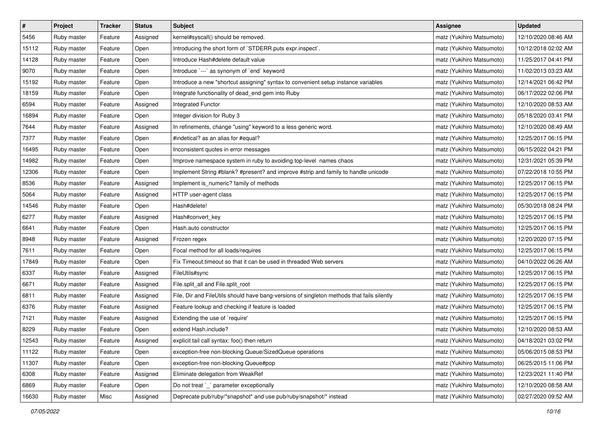| $\pmb{\#}$ | Project     | <b>Tracker</b> | <b>Status</b> | <b>Subject</b>                                                                             | <b>Assignee</b>           | <b>Updated</b>      |
|------------|-------------|----------------|---------------|--------------------------------------------------------------------------------------------|---------------------------|---------------------|
| 5456       | Ruby master | Feature        | Assigned      | kernel#syscall() should be removed.                                                        | matz (Yukihiro Matsumoto) | 12/10/2020 08:46 AM |
| 15112      | Ruby master | Feature        | Open          | Introducing the short form of `STDERR.puts expr.inspect`.                                  | matz (Yukihiro Matsumoto) | 10/12/2018 02:02 AM |
| 14128      | Ruby master | Feature        | Open          | Introduce Hash#delete default value                                                        | matz (Yukihiro Matsumoto) | 11/25/2017 04:41 PM |
| 9070       | Ruby master | Feature        | Open          | Introduce `---` as synonym of `end` keyword                                                | matz (Yukihiro Matsumoto) | 11/02/2013 03:23 AM |
| 15192      | Ruby master | Feature        | Open          | Introduce a new "shortcut assigning" syntax to convenient setup instance variables         | matz (Yukihiro Matsumoto) | 12/14/2021 06:42 PM |
| 18159      | Ruby master | Feature        | Open          | Integrate functionality of dead_end gem into Ruby                                          | matz (Yukihiro Matsumoto) | 06/17/2022 02:06 PM |
| 6594       | Ruby master | Feature        | Assigned      | Integrated Functor                                                                         | matz (Yukihiro Matsumoto) | 12/10/2020 08:53 AM |
| 16894      | Ruby master | Feature        | Open          | Integer division for Ruby 3                                                                | matz (Yukihiro Matsumoto) | 05/18/2020 03:41 PM |
| 7644       | Ruby master | Feature        | Assigned      | In refinements, change "using" keyword to a less generic word.                             | matz (Yukihiro Matsumoto) | 12/10/2020 08:49 AM |
| 7377       | Ruby master | Feature        | Open          | #indetical? as an alias for #equal?                                                        | matz (Yukihiro Matsumoto) | 12/25/2017 06:15 PM |
| 16495      | Ruby master | Feature        | Open          | Inconsistent quotes in error messages                                                      | matz (Yukihiro Matsumoto) | 06/15/2022 04:21 PM |
| 14982      | Ruby master | Feature        | Open          | Improve namespace system in ruby to avoiding top-level names chaos                         | matz (Yukihiro Matsumoto) | 12/31/2021 05:39 PM |
| 12306      | Ruby master | Feature        | Open          | Implement String #blank? #present? and improve #strip and family to handle unicode         | matz (Yukihiro Matsumoto) | 07/22/2018 10:55 PM |
| 8536       | Ruby master | Feature        | Assigned      | Implement is_numeric? family of methods                                                    | matz (Yukihiro Matsumoto) | 12/25/2017 06:15 PM |
| 5064       | Ruby master | Feature        | Assigned      | HTTP user-agent class                                                                      | matz (Yukihiro Matsumoto) | 12/25/2017 06:15 PM |
| 14546      | Ruby master | Feature        | Open          | Hash#delete!                                                                               | matz (Yukihiro Matsumoto) | 05/30/2018 08:24 PM |
| 6277       | Ruby master | Feature        | Assigned      | Hash#convert_key                                                                           | matz (Yukihiro Matsumoto) | 12/25/2017 06:15 PM |
| 6641       | Ruby master | Feature        | Open          | Hash.auto constructor                                                                      | matz (Yukihiro Matsumoto) | 12/25/2017 06:15 PM |
| 8948       | Ruby master | Feature        | Assigned      | Frozen regex                                                                               | matz (Yukihiro Matsumoto) | 12/20/2020 07:15 PM |
| 7611       | Ruby master | Feature        | Open          | Focal method for all loads/requires                                                        | matz (Yukihiro Matsumoto) | 12/25/2017 06:15 PM |
| 17849      | Ruby master | Feature        | Open          | Fix Timeout timeout so that it can be used in threaded Web servers                         | matz (Yukihiro Matsumoto) | 04/10/2022 06:26 AM |
| 6337       | Ruby master | Feature        | Assigned      | FileUtils#sync                                                                             | matz (Yukihiro Matsumoto) | 12/25/2017 06:15 PM |
| 6671       | Ruby master | Feature        | Assigned      | File.split_all and File.split_root                                                         | matz (Yukihiro Matsumoto) | 12/25/2017 06:15 PM |
| 6811       | Ruby master | Feature        | Assigned      | File, Dir and FileUtils should have bang-versions of singleton methods that fails silently | matz (Yukihiro Matsumoto) | 12/25/2017 06:15 PM |
| 6376       | Ruby master | Feature        | Assigned      | Feature lookup and checking if feature is loaded                                           | matz (Yukihiro Matsumoto) | 12/25/2017 06:15 PM |
| 7121       | Ruby master | Feature        | Assigned      | Extending the use of `require'                                                             | matz (Yukihiro Matsumoto) | 12/25/2017 06:15 PM |
| 8229       | Ruby master | Feature        | Open          | extend Hash.include?                                                                       | matz (Yukihiro Matsumoto) | 12/10/2020 08:53 AM |
| 12543      | Ruby master | Feature        | Assigned      | explicit tail call syntax: foo() then return                                               | matz (Yukihiro Matsumoto) | 04/18/2021 03:02 PM |
| 11122      | Ruby master | Feature        | Open          | exception-free non-blocking Queue/SizedQueue operations                                    | matz (Yukihiro Matsumoto) | 05/06/2015 08:53 PM |
| 11307      | Ruby master | Feature        | Open          | exception-free non-blocking Queue#pop                                                      | matz (Yukihiro Matsumoto) | 06/25/2015 11:06 PM |
| 6308       | Ruby master | Feature        | Assigned      | Eliminate delegation from WeakRef                                                          | matz (Yukihiro Matsumoto) | 12/23/2021 11:40 PM |
| 6869       | Ruby master | Feature        | Open          | Do not treat `_` parameter exceptionally                                                   | matz (Yukihiro Matsumoto) | 12/10/2020 08:58 AM |
| 16630      | Ruby master | Misc           | Assigned      | Deprecate pub/ruby/*snapshot* and use pub/ruby/snapshot/* instead                          | matz (Yukihiro Matsumoto) | 02/27/2020 09:52 AM |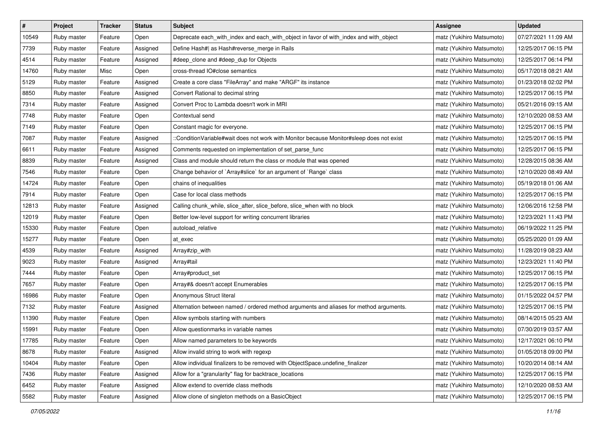| $\pmb{\#}$ | Project     | <b>Tracker</b> | <b>Status</b> | Subject                                                                                  | Assignee                  | <b>Updated</b>      |
|------------|-------------|----------------|---------------|------------------------------------------------------------------------------------------|---------------------------|---------------------|
| 10549      | Ruby master | Feature        | Open          | Deprecate each_with_index and each_with_object in favor of with_index and with_object    | matz (Yukihiro Matsumoto) | 07/27/2021 11:09 AM |
| 7739       | Ruby master | Feature        | Assigned      | Define Hash#  as Hash#reverse_merge in Rails                                             | matz (Yukihiro Matsumoto) | 12/25/2017 06:15 PM |
| 4514       | Ruby master | Feature        | Assigned      | #deep_clone and #deep_dup for Objects                                                    | matz (Yukihiro Matsumoto) | 12/25/2017 06:14 PM |
| 14760      | Ruby master | Misc           | Open          | cross-thread IO#close semantics                                                          | matz (Yukihiro Matsumoto) | 05/17/2018 08:21 AM |
| 5129       | Ruby master | Feature        | Assigned      | Create a core class "FileArray" and make "ARGF" its instance                             | matz (Yukihiro Matsumoto) | 01/23/2018 02:02 PM |
| 8850       | Ruby master | Feature        | Assigned      | Convert Rational to decimal string                                                       | matz (Yukihiro Matsumoto) | 12/25/2017 06:15 PM |
| 7314       | Ruby master | Feature        | Assigned      | Convert Proc to Lambda doesn't work in MRI                                               | matz (Yukihiro Matsumoto) | 05/21/2016 09:15 AM |
| 7748       | Ruby master | Feature        | Open          | Contextual send                                                                          | matz (Yukihiro Matsumoto) | 12/10/2020 08:53 AM |
| 7149       | Ruby master | Feature        | Open          | Constant magic for everyone.                                                             | matz (Yukihiro Matsumoto) | 12/25/2017 06:15 PM |
| 7087       | Ruby master | Feature        | Assigned      | ::ConditionVariable#wait does not work with Monitor because Monitor#sleep does not exist | matz (Yukihiro Matsumoto) | 12/25/2017 06:15 PM |
| 6611       | Ruby master | Feature        | Assigned      | Comments requested on implementation of set_parse_func                                   | matz (Yukihiro Matsumoto) | 12/25/2017 06:15 PM |
| 8839       | Ruby master | Feature        | Assigned      | Class and module should return the class or module that was opened                       | matz (Yukihiro Matsumoto) | 12/28/2015 08:36 AM |
| 7546       | Ruby master | Feature        | Open          | Change behavior of `Array#slice` for an argument of `Range` class                        | matz (Yukihiro Matsumoto) | 12/10/2020 08:49 AM |
| 14724      | Ruby master | Feature        | Open          | chains of inequalities                                                                   | matz (Yukihiro Matsumoto) | 05/19/2018 01:06 AM |
| 7914       | Ruby master | Feature        | Open          | Case for local class methods                                                             | matz (Yukihiro Matsumoto) | 12/25/2017 06:15 PM |
| 12813      | Ruby master | Feature        | Assigned      | Calling chunk_while, slice_after, slice_before, slice_when with no block                 | matz (Yukihiro Matsumoto) | 12/06/2016 12:58 PM |
| 12019      | Ruby master | Feature        | Open          | Better low-level support for writing concurrent libraries                                | matz (Yukihiro Matsumoto) | 12/23/2021 11:43 PM |
| 15330      | Ruby master | Feature        | Open          | autoload_relative                                                                        | matz (Yukihiro Matsumoto) | 06/19/2022 11:25 PM |
| 15277      | Ruby master | Feature        | Open          | at exec                                                                                  | matz (Yukihiro Matsumoto) | 05/25/2020 01:09 AM |
| 4539       | Ruby master | Feature        | Assigned      | Array#zip_with                                                                           | matz (Yukihiro Matsumoto) | 11/28/2019 08:23 AM |
| 9023       | Ruby master | Feature        | Assigned      | Array#tail                                                                               | matz (Yukihiro Matsumoto) | 12/23/2021 11:40 PM |
| 7444       | Ruby master | Feature        | Open          | Array#product_set                                                                        | matz (Yukihiro Matsumoto) | 12/25/2017 06:15 PM |
| 7657       | Ruby master | Feature        | Open          | Array#& doesn't accept Enumerables                                                       | matz (Yukihiro Matsumoto) | 12/25/2017 06:15 PM |
| 16986      | Ruby master | Feature        | Open          | Anonymous Struct literal                                                                 | matz (Yukihiro Matsumoto) | 01/15/2022 04:57 PM |
| 7132       | Ruby master | Feature        | Assigned      | Alternation between named / ordered method arguments and aliases for method arguments.   | matz (Yukihiro Matsumoto) | 12/25/2017 06:15 PM |
| 11390      | Ruby master | Feature        | Open          | Allow symbols starting with numbers                                                      | matz (Yukihiro Matsumoto) | 08/14/2015 05:23 AM |
| 15991      | Ruby master | Feature        | Open          | Allow questionmarks in variable names                                                    | matz (Yukihiro Matsumoto) | 07/30/2019 03:57 AM |
| 17785      | Ruby master | Feature        | Open          | Allow named parameters to be keywords                                                    | matz (Yukihiro Matsumoto) | 12/17/2021 06:10 PM |
| 8678       | Ruby master | Feature        | Assigned      | Allow invalid string to work with regexp                                                 | matz (Yukihiro Matsumoto) | 01/05/2018 09:00 PM |
| 10404      | Ruby master | Feature        | Open          | Allow individual finalizers to be removed with ObjectSpace.undefine_finalizer            | matz (Yukihiro Matsumoto) | 10/20/2014 08:14 AM |
| 7436       | Ruby master | Feature        | Assigned      | Allow for a "granularity" flag for backtrace_locations                                   | matz (Yukihiro Matsumoto) | 12/25/2017 06:15 PM |
| 6452       | Ruby master | Feature        | Assigned      | Allow extend to override class methods                                                   | matz (Yukihiro Matsumoto) | 12/10/2020 08:53 AM |
| 5582       | Ruby master | Feature        | Assigned      | Allow clone of singleton methods on a BasicObject                                        | matz (Yukihiro Matsumoto) | 12/25/2017 06:15 PM |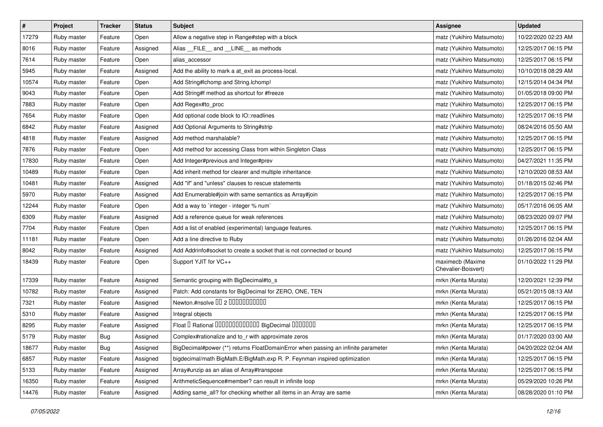| $\sharp$ | Project     | Tracker | <b>Status</b> | <b>Subject</b>                                                                    | Assignee                                | <b>Updated</b>      |
|----------|-------------|---------|---------------|-----------------------------------------------------------------------------------|-----------------------------------------|---------------------|
| 17279    | Ruby master | Feature | Open          | Allow a negative step in Range#step with a block                                  | matz (Yukihiro Matsumoto)               | 10/22/2020 02:23 AM |
| 8016     | Ruby master | Feature | Assigned      | Alias __FILE__ and __LINE__ as methods                                            | matz (Yukihiro Matsumoto)               | 12/25/2017 06:15 PM |
| 7614     | Ruby master | Feature | Open          | alias accessor                                                                    | matz (Yukihiro Matsumoto)               | 12/25/2017 06:15 PM |
| 5945     | Ruby master | Feature | Assigned      | Add the ability to mark a at_exit as process-local.                               | matz (Yukihiro Matsumoto)               | 10/10/2018 08:29 AM |
| 10574    | Ruby master | Feature | Open          | Add String#Ichomp and String.Ichomp!                                              | matz (Yukihiro Matsumoto)               | 12/15/2014 04:34 PM |
| 9043     | Ruby master | Feature | Open          | Add String#f method as shortcut for #freeze                                       | matz (Yukihiro Matsumoto)               | 01/05/2018 09:00 PM |
| 7883     | Ruby master | Feature | Open          | Add Regex#to_proc                                                                 | matz (Yukihiro Matsumoto)               | 12/25/2017 06:15 PM |
| 7654     | Ruby master | Feature | Open          | Add optional code block to IO::readlines                                          | matz (Yukihiro Matsumoto)               | 12/25/2017 06:15 PM |
| 6842     | Ruby master | Feature | Assigned      | Add Optional Arguments to String#strip                                            | matz (Yukihiro Matsumoto)               | 08/24/2016 05:50 AM |
| 4818     | Ruby master | Feature | Assigned      | Add method marshalable?                                                           | matz (Yukihiro Matsumoto)               | 12/25/2017 06:15 PM |
| 7876     | Ruby master | Feature | Open          | Add method for accessing Class from within Singleton Class                        | matz (Yukihiro Matsumoto)               | 12/25/2017 06:15 PM |
| 17830    | Ruby master | Feature | Open          | Add Integer#previous and Integer#prev                                             | matz (Yukihiro Matsumoto)               | 04/27/2021 11:35 PM |
| 10489    | Ruby master | Feature | Open          | Add inherit method for clearer and multiple inheritance                           | matz (Yukihiro Matsumoto)               | 12/10/2020 08:53 AM |
| 10481    | Ruby master | Feature | Assigned      | Add "if" and "unless" clauses to rescue statements                                | matz (Yukihiro Matsumoto)               | 01/18/2015 02:46 PM |
| 5970     | Ruby master | Feature | Assigned      | Add Enumerable#join with same semantics as Array#join                             | matz (Yukihiro Matsumoto)               | 12/25/2017 06:15 PM |
| 12244    | Ruby master | Feature | Open          | Add a way to `integer - integer % num`                                            | matz (Yukihiro Matsumoto)               | 05/17/2016 06:05 AM |
| 6309     | Ruby master | Feature | Assigned      | Add a reference queue for weak references                                         | matz (Yukihiro Matsumoto)               | 08/23/2020 09:07 PM |
| 7704     | Ruby master | Feature | Open          | Add a list of enabled (experimental) language features.                           | matz (Yukihiro Matsumoto)               | 12/25/2017 06:15 PM |
| 11181    | Ruby master | Feature | Open          | Add a line directive to Ruby                                                      | matz (Yukihiro Matsumoto)               | 01/26/2016 02:04 AM |
| 8042     | Ruby master | Feature | Assigned      | Add Addrinfo#socket to create a socket that is not connected or bound             | matz (Yukihiro Matsumoto)               | 12/25/2017 06:15 PM |
| 18439    | Ruby master | Feature | Open          | Support YJIT for VC++                                                             | maximecb (Maxime<br>Chevalier-Boisvert) | 01/10/2022 11:29 PM |
| 17339    | Ruby master | Feature | Assigned      | Semantic grouping with BigDecimal#to_s                                            | mrkn (Kenta Murata)                     | 12/20/2021 12:39 PM |
| 10782    | Ruby master | Feature | Assigned      | Patch: Add constants for BigDecimal for ZERO, ONE, TEN                            | mrkn (Kenta Murata)                     | 05/21/2015 08:13 AM |
| 7321     | Ruby master | Feature | Assigned      | Newton.#nsolve 00 2 0000000000                                                    | mrkn (Kenta Murata)                     | 12/25/2017 06:15 PM |
| 5310     | Ruby master | Feature | Assigned      | Integral objects                                                                  | mrkn (Kenta Murata)                     | 12/25/2017 06:15 PM |
| 8295     | Ruby master | Feature | Assigned      | Float I Rational 0000000000000 BigDecimal 0000000                                 | mrkn (Kenta Murata)                     | 12/25/2017 06:15 PM |
| 5179     | Ruby master | Bug     | Assigned      | Complex#rationalize and to_r with approximate zeros                               | mrkn (Kenta Murata)                     | 01/17/2020 03:00 AM |
| 18677    | Ruby master | Bug     | Assigned      | BigDecimal#power (**) returns FloatDomainError when passing an infinite parameter | mrkn (Kenta Murata)                     | 04/20/2022 02:04 AM |
| 6857     | Ruby master | Feature | Assigned      | bigdecimal/math BigMath.E/BigMath.exp R. P. Feynman inspired optimization         | mrkn (Kenta Murata)                     | 12/25/2017 06:15 PM |
| 5133     | Ruby master | Feature | Assigned      | Array#unzip as an alias of Array#transpose                                        | mrkn (Kenta Murata)                     | 12/25/2017 06:15 PM |
| 16350    | Ruby master | Feature | Assigned      | ArithmeticSequence#member? can result in infinite loop                            | mrkn (Kenta Murata)                     | 05/29/2020 10:26 PM |
| 14476    | Ruby master | Feature | Assigned      | Adding same_all? for checking whether all items in an Array are same              | mrkn (Kenta Murata)                     | 08/28/2020 01:10 PM |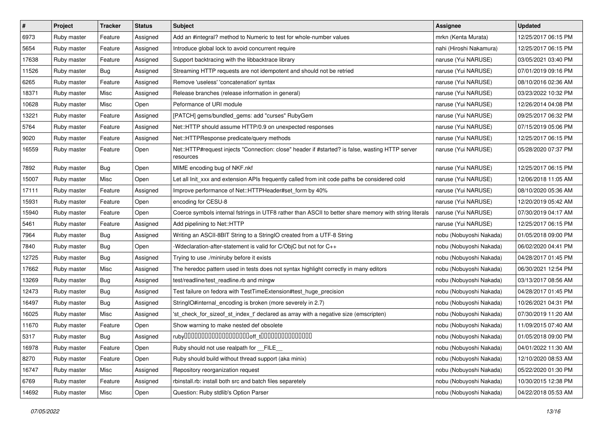| $\sharp$ | Project     | <b>Tracker</b> | <b>Status</b> | <b>Subject</b>                                                                                               | Assignee                | <b>Updated</b>      |
|----------|-------------|----------------|---------------|--------------------------------------------------------------------------------------------------------------|-------------------------|---------------------|
| 6973     | Ruby master | Feature        | Assigned      | Add an #integral? method to Numeric to test for whole-number values                                          | mrkn (Kenta Murata)     | 12/25/2017 06:15 PM |
| 5654     | Ruby master | Feature        | Assigned      | Introduce global lock to avoid concurrent require                                                            | nahi (Hiroshi Nakamura) | 12/25/2017 06:15 PM |
| 17638    | Ruby master | Feature        | Assigned      | Support backtracing with the libbacktrace library                                                            | naruse (Yui NARUSE)     | 03/05/2021 03:40 PM |
| 11526    | Ruby master | Bug            | Assigned      | Streaming HTTP requests are not idempotent and should not be retried                                         | naruse (Yui NARUSE)     | 07/01/2019 09:16 PM |
| 6265     | Ruby master | Feature        | Assigned      | Remove 'useless' 'concatenation' syntax                                                                      | naruse (Yui NARUSE)     | 08/10/2016 02:36 AM |
| 18371    | Ruby master | Misc           | Assigned      | Release branches (release information in general)                                                            | naruse (Yui NARUSE)     | 03/23/2022 10:32 PM |
| 10628    | Ruby master | Misc           | Open          | Peformance of URI module                                                                                     | naruse (Yui NARUSE)     | 12/26/2014 04:08 PM |
| 13221    | Ruby master | Feature        | Assigned      | [PATCH] gems/bundled_gems: add "curses" RubyGem                                                              | naruse (Yui NARUSE)     | 09/25/2017 06:32 PM |
| 5764     | Ruby master | Feature        | Assigned      | Net::HTTP should assume HTTP/0.9 on unexpected responses                                                     | naruse (Yui NARUSE)     | 07/15/2019 05:06 PM |
| 9020     | Ruby master | Feature        | Assigned      | Net::HTTPResponse predicate/query methods                                                                    | naruse (Yui NARUSE)     | 12/25/2017 06:15 PM |
| 16559    | Ruby master | Feature        | Open          | Net::HTTP#request injects "Connection: close" header if #started? is false, wasting HTTP server<br>resources | naruse (Yui NARUSE)     | 05/28/2020 07:37 PM |
| 7892     | Ruby master | Bug            | Open          | MIME encoding bug of NKF.nkf                                                                                 | naruse (Yui NARUSE)     | 12/25/2017 06:15 PM |
| 15007    | Ruby master | Misc           | Open          | Let all Init_xxx and extension APIs frequently called from init code paths be considered cold                | naruse (Yui NARUSE)     | 12/06/2018 11:05 AM |
| 17111    | Ruby master | Feature        | Assigned      | Improve performance of Net::HTTPHeader#set_form by 40%                                                       | naruse (Yui NARUSE)     | 08/10/2020 05:36 AM |
| 15931    | Ruby master | Feature        | Open          | encoding for CESU-8                                                                                          | naruse (Yui NARUSE)     | 12/20/2019 05:42 AM |
| 15940    | Ruby master | Feature        | Open          | Coerce symbols internal fstrings in UTF8 rather than ASCII to better share memory with string literals       | naruse (Yui NARUSE)     | 07/30/2019 04:17 AM |
| 5461     | Ruby master | Feature        | Assigned      | Add pipelining to Net::HTTP                                                                                  | naruse (Yui NARUSE)     | 12/25/2017 06:15 PM |
| 7964     | Ruby master | Bug            | Assigned      | Writing an ASCII-8BIT String to a StringIO created from a UTF-8 String                                       | nobu (Nobuyoshi Nakada) | 01/05/2018 09:00 PM |
| 7840     | Ruby master | Bug            | Open          | -Wdeclaration-after-statement is valid for C/ObjC but not for C++                                            | nobu (Nobuyoshi Nakada) | 06/02/2020 04:41 PM |
| 12725    | Ruby master | <b>Bug</b>     | Assigned      | Trying to use ./miniruby before it exists                                                                    | nobu (Nobuyoshi Nakada) | 04/28/2017 01:45 PM |
| 17662    | Ruby master | Misc           | Assigned      | The heredoc pattern used in tests does not syntax highlight correctly in many editors                        | nobu (Nobuyoshi Nakada) | 06/30/2021 12:54 PM |
| 13269    | Ruby master | <b>Bug</b>     | Assigned      | test/readline/test_readline.rb and mingw                                                                     | nobu (Nobuyoshi Nakada) | 03/13/2017 08:56 AM |
| 12473    | Ruby master | Bug            | Assigned      | Test failure on fedora with TestTimeExtension#test_huge_precision                                            | nobu (Nobuyoshi Nakada) | 04/28/2017 01:45 PM |
| 16497    | Ruby master | Bug            | Assigned      | StringIO#internal_encoding is broken (more severely in 2.7)                                                  | nobu (Nobuyoshi Nakada) | 10/26/2021 04:31 PM |
| 16025    | Ruby master | Misc           | Assigned      | 'st_check_for_sizeof_st_index_t' declared as array with a negative size (emscripten)                         | nobu (Nobuyoshi Nakada) | 07/30/2019 11:20 AM |
| 11670    | Ruby master | Feature        | Open          | Show warning to make nested def obsolete                                                                     | nobu (Nobuyoshi Nakada) | 11/09/2015 07:40 AM |
| 5317     | Ruby master | Bug            | Assigned      |                                                                                                              | nobu (Nobuyoshi Nakada) | 01/05/2018 09:00 PM |
| 16978    | Ruby master | Feature        | Open          | Ruby should not use realpath for __FILE_                                                                     | nobu (Nobuyoshi Nakada) | 04/01/2022 11:30 AM |
| 8270     | Ruby master | Feature        | Open          | Ruby should build without thread support (aka minix)                                                         | nobu (Nobuyoshi Nakada) | 12/10/2020 08:53 AM |
| 16747    | Ruby master | Misc           | Assigned      | Repository reorganization request                                                                            | nobu (Nobuyoshi Nakada) | 05/22/2020 01:30 PM |
| 6769     | Ruby master | Feature        | Assigned      | rbinstall.rb: install both src and batch files separetely                                                    | nobu (Nobuyoshi Nakada) | 10/30/2015 12:38 PM |
| 14692    | Ruby master | Misc           | Open          | Question: Ruby stdlib's Option Parser                                                                        | nobu (Nobuyoshi Nakada) | 04/22/2018 05:53 AM |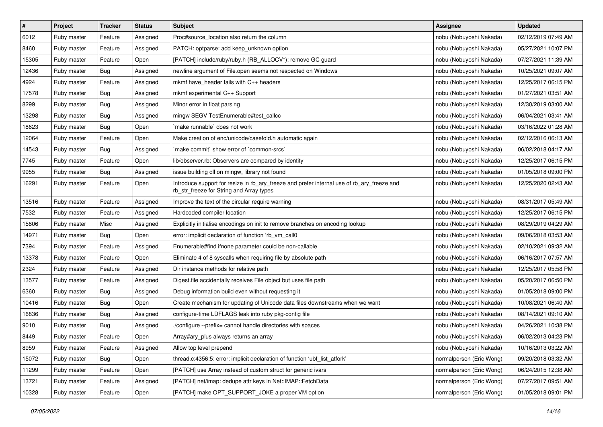| $\pmb{\#}$ | Project     | <b>Tracker</b> | <b>Status</b> | <b>Subject</b>                                                                                                                         | <b>Assignee</b>          | <b>Updated</b>      |
|------------|-------------|----------------|---------------|----------------------------------------------------------------------------------------------------------------------------------------|--------------------------|---------------------|
| 6012       | Ruby master | Feature        | Assigned      | Proc#source_location also return the column                                                                                            | nobu (Nobuyoshi Nakada)  | 02/12/2019 07:49 AM |
| 8460       | Ruby master | Feature        | Assigned      | PATCH: optparse: add keep_unknown option                                                                                               | nobu (Nobuyoshi Nakada)  | 05/27/2021 10:07 PM |
| 15305      | Ruby master | Feature        | Open          | [PATCH] include/ruby/ruby.h (RB_ALLOCV*): remove GC guard                                                                              | nobu (Nobuyoshi Nakada)  | 07/27/2021 11:39 AM |
| 12436      | Ruby master | Bug            | Assigned      | newline argument of File.open seems not respected on Windows                                                                           | nobu (Nobuyoshi Nakada)  | 10/25/2021 09:07 AM |
| 4924       | Ruby master | Feature        | Assigned      | mkmf have header fails with C++ headers                                                                                                | nobu (Nobuyoshi Nakada)  | 12/25/2017 06:15 PM |
| 17578      | Ruby master | Bug            | Assigned      | mkmf experimental C++ Support                                                                                                          | nobu (Nobuyoshi Nakada)  | 01/27/2021 03:51 AM |
| 8299       | Ruby master | Bug            | Assigned      | Minor error in float parsing                                                                                                           | nobu (Nobuyoshi Nakada)  | 12/30/2019 03:00 AM |
| 13298      | Ruby master | Bug            | Assigned      | mingw SEGV TestEnumerable#test callcc                                                                                                  | nobu (Nobuyoshi Nakada)  | 06/04/2021 03:41 AM |
| 18623      | Ruby master | <b>Bug</b>     | Open          | make runnable' does not work                                                                                                           | nobu (Nobuyoshi Nakada)  | 03/16/2022 01:28 AM |
| 12064      | Ruby master | Feature        | Open          | Make creation of enc/unicode/casefold.h automatic again                                                                                | nobu (Nobuyoshi Nakada)  | 02/12/2016 06:13 AM |
| 14543      | Ruby master | Bug            | Assigned      | 'make commit' show error of 'common-srcs'                                                                                              | nobu (Nobuyoshi Nakada)  | 06/02/2018 04:17 AM |
| 7745       | Ruby master | Feature        | Open          | lib/observer.rb: Observers are compared by identity                                                                                    | nobu (Nobuyoshi Nakada)  | 12/25/2017 06:15 PM |
| 9955       | Ruby master | Bug            | Assigned      | issue building dll on mingw, library not found                                                                                         | nobu (Nobuyoshi Nakada)  | 01/05/2018 09:00 PM |
| 16291      | Ruby master | Feature        | Open          | Introduce support for resize in rb_ary_freeze and prefer internal use of rb_ary_freeze and<br>rb_str_freeze for String and Array types | nobu (Nobuyoshi Nakada)  | 12/25/2020 02:43 AM |
| 13516      | Ruby master | Feature        | Assigned      | Improve the text of the circular require warning                                                                                       | nobu (Nobuyoshi Nakada)  | 08/31/2017 05:49 AM |
| 7532       | Ruby master | Feature        | Assigned      | Hardcoded compiler location                                                                                                            | nobu (Nobuyoshi Nakada)  | 12/25/2017 06:15 PM |
| 15806      | Ruby master | Misc           | Assigned      | Explicitly initialise encodings on init to remove branches on encoding lookup                                                          | nobu (Nobuyoshi Nakada)  | 08/29/2019 04:29 AM |
| 14971      | Ruby master | Bug            | Open          | error: implicit declaration of function 'rb_vm_call0                                                                                   | nobu (Nobuyoshi Nakada)  | 09/06/2018 03:53 AM |
| 7394       | Ruby master | Feature        | Assigned      | Enumerable#find ifnone parameter could be non-callable                                                                                 | nobu (Nobuyoshi Nakada)  | 02/10/2021 09:32 AM |
| 13378      | Ruby master | Feature        | Open          | Eliminate 4 of 8 syscalls when requiring file by absolute path                                                                         | nobu (Nobuyoshi Nakada)  | 06/16/2017 07:57 AM |
| 2324       | Ruby master | Feature        | Assigned      | Dir instance methods for relative path                                                                                                 | nobu (Nobuyoshi Nakada)  | 12/25/2017 05:58 PM |
| 13577      | Ruby master | Feature        | Assigned      | Digest.file accidentally receives File object but uses file path                                                                       | nobu (Nobuyoshi Nakada)  | 05/20/2017 06:50 PM |
| 6360       | Ruby master | Bug            | Assigned      | Debug information build even without requesting it                                                                                     | nobu (Nobuyoshi Nakada)  | 01/05/2018 09:00 PM |
| 10416      | Ruby master | Bug            | Open          | Create mechanism for updating of Unicode data files downstreams when we want                                                           | nobu (Nobuyoshi Nakada)  | 10/08/2021 06:40 AM |
| 16836      | Ruby master | Bug            | Assigned      | configure-time LDFLAGS leak into ruby pkg-config file                                                                                  | nobu (Nobuyoshi Nakada)  | 08/14/2021 09:10 AM |
| 9010       | Ruby master | <b>Bug</b>     | Assigned      | ./configure --prefix= cannot handle directories with spaces                                                                            | nobu (Nobuyoshi Nakada)  | 04/26/2021 10:38 PM |
| 8449       | Ruby master | Feature        | Open          | Array#ary_plus always returns an array                                                                                                 | nobu (Nobuyoshi Nakada)  | 06/02/2013 04:23 PM |
| 8959       | Ruby master | Feature        | Assigned      | Allow top level prepend                                                                                                                | nobu (Nobuyoshi Nakada)  | 10/16/2013 03:22 AM |
| 15072      | Ruby master | Bug            | Open          | thread.c:4356:5: error: implicit declaration of function 'ubf_list_atfork'                                                             | normalperson (Eric Wong) | 09/20/2018 03:32 AM |
| 11299      | Ruby master | Feature        | Open          | [PATCH] use Array instead of custom struct for generic ivars                                                                           | normalperson (Eric Wong) | 06/24/2015 12:38 AM |
| 13721      | Ruby master | Feature        | Assigned      | [PATCH] net/imap: dedupe attr keys in Net::IMAP::FetchData                                                                             | normalperson (Eric Wong) | 07/27/2017 09:51 AM |
| 10328      | Ruby master | Feature        | Open          | [PATCH] make OPT_SUPPORT_JOKE a proper VM option                                                                                       | normalperson (Eric Wong) | 01/05/2018 09:01 PM |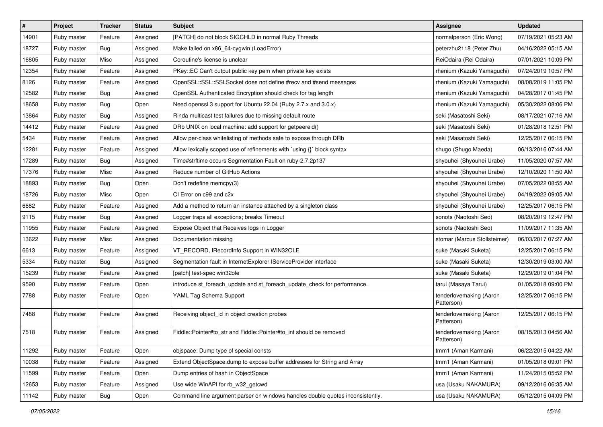| $\vert$ # | Project     | Tracker | <b>Status</b> | <b>Subject</b>                                                                | <b>Assignee</b>                       | <b>Updated</b>      |
|-----------|-------------|---------|---------------|-------------------------------------------------------------------------------|---------------------------------------|---------------------|
| 14901     | Ruby master | Feature | Assigned      | [PATCH] do not block SIGCHLD in normal Ruby Threads                           | normalperson (Eric Wong)              | 07/19/2021 05:23 AM |
| 18727     | Ruby master | Bug     | Assigned      | Make failed on x86_64-cygwin (LoadError)                                      | peterzhu2118 (Peter Zhu)              | 04/16/2022 05:15 AM |
| 16805     | Ruby master | Misc    | Assigned      | Coroutine's license is unclear                                                | ReiOdaira (Rei Odaira)                | 07/01/2021 10:09 PM |
| 12354     | Ruby master | Feature | Assigned      | PKey::EC Can't output public key pem when private key exists                  | rhenium (Kazuki Yamaguchi)            | 07/24/2019 10:57 PM |
| 8126      | Ruby master | Feature | Assigned      | OpenSSL::SSL::SSLSocket does not define #recv and #send messages              | rhenium (Kazuki Yamaguchi)            | 08/08/2019 11:05 PM |
| 12582     | Ruby master | Bug     | Assigned      | OpenSSL Authenticated Encryption should check for tag length                  | rhenium (Kazuki Yamaguchi)            | 04/28/2017 01:45 PM |
| 18658     | Ruby master | Bug     | Open          | Need openssl 3 support for Ubuntu 22.04 (Ruby 2.7.x and 3.0.x)                | rhenium (Kazuki Yamaguchi)            | 05/30/2022 08:06 PM |
| 13864     | Ruby master | Bug     | Assigned      | Rinda multicast test failures due to missing default route                    | seki (Masatoshi Seki)                 | 08/17/2021 07:16 AM |
| 14412     | Ruby master | Feature | Assigned      | DRb UNIX on local machine: add support for getpeereid()                       | seki (Masatoshi Seki)                 | 01/28/2018 12:51 PM |
| 5434      | Ruby master | Feature | Assigned      | Allow per-class whitelisting of methods safe to expose through DRb            | seki (Masatoshi Seki)                 | 12/25/2017 06:15 PM |
| 12281     | Ruby master | Feature | Assigned      | Allow lexically scoped use of refinements with 'using {}' block syntax        | shugo (Shugo Maeda)                   | 06/13/2016 07:44 AM |
| 17289     | Ruby master | Bug     | Assigned      | Time#strftime occurs Segmentation Fault on ruby-2.7.2p137                     | shyouhei (Shyouhei Urabe)             | 11/05/2020 07:57 AM |
| 17376     | Ruby master | Misc    | Assigned      | Reduce number of GitHub Actions                                               | shyouhei (Shyouhei Urabe)             | 12/10/2020 11:50 AM |
| 18893     | Ruby master | Bug     | Open          | Don't redefine memcpy(3)                                                      | shyouhei (Shyouhei Urabe)             | 07/05/2022 08:55 AM |
| 18726     | Ruby master | Misc    | Open          | CI Error on c99 and c2x                                                       | shyouhei (Shyouhei Urabe)             | 04/19/2022 09:05 AM |
| 6682      | Ruby master | Feature | Assigned      | Add a method to return an instance attached by a singleton class              | shyouhei (Shyouhei Urabe)             | 12/25/2017 06:15 PM |
| 9115      | Ruby master | Bug     | Assigned      | Logger traps all exceptions; breaks Timeout                                   | sonots (Naotoshi Seo)                 | 08/20/2019 12:47 PM |
| 11955     | Ruby master | Feature | Assigned      | Expose Object that Receives logs in Logger                                    | sonots (Naotoshi Seo)                 | 11/09/2017 11:35 AM |
| 13622     | Ruby master | Misc    | Assigned      | Documentation missing                                                         | stomar (Marcus Stollsteimer)          | 06/03/2017 07:27 AM |
| 6613      | Ruby master | Feature | Assigned      | VT_RECORD, IRecordInfo Support in WIN32OLE                                    | suke (Masaki Suketa)                  | 12/25/2017 06:15 PM |
| 5334      | Ruby master | Bug     | Assigned      | Segmentation fault in InternetExplorer IServiceProvider interface             | suke (Masaki Suketa)                  | 12/30/2019 03:00 AM |
| 15239     | Ruby master | Feature | Assigned      | [patch] test-spec win32ole                                                    | suke (Masaki Suketa)                  | 12/29/2019 01:04 PM |
| 9590      | Ruby master | Feature | Open          | introduce st_foreach_update and st_foreach_update_check for performance.      | tarui (Masaya Tarui)                  | 01/05/2018 09:00 PM |
| 7788      | Ruby master | Feature | Open          | YAML Tag Schema Support                                                       | tenderlovemaking (Aaron<br>Patterson) | 12/25/2017 06:15 PM |
| 7488      | Ruby master | Feature | Assigned      | Receiving object_id in object creation probes                                 | tenderlovemaking (Aaron<br>Patterson) | 12/25/2017 06:15 PM |
| 7518      | Ruby master | Feature | Assigned      | Fiddle::Pointer#to_str and Fiddle::Pointer#to_int should be removed           | tenderlovemaking (Aaron<br>Patterson) | 08/15/2013 04:56 AM |
| 11292     | Ruby master | Feature | Open          | obispace: Dump type of special consts                                         | tmm1 (Aman Karmani)                   | 06/22/2015 04:22 AM |
| 10038     | Ruby master | Feature | Assigned      | Extend ObjectSpace.dump to expose buffer addresses for String and Array       | tmm1 (Aman Karmani)                   | 01/05/2018 09:01 PM |
| 11599     | Ruby master | Feature | Open          | Dump entries of hash in ObjectSpace                                           | tmm1 (Aman Karmani)                   | 11/24/2015 05:52 PM |
| 12653     | Ruby master | Feature | Assigned      | Use wide WinAPI for rb_w32_getcwd                                             | usa (Usaku NAKAMURA)                  | 09/12/2016 06:35 AM |
| 11142     | Ruby master | Bug     | Open          | Command line argument parser on windows handles double quotes inconsistently. | usa (Usaku NAKAMURA)                  | 05/12/2015 04:09 PM |